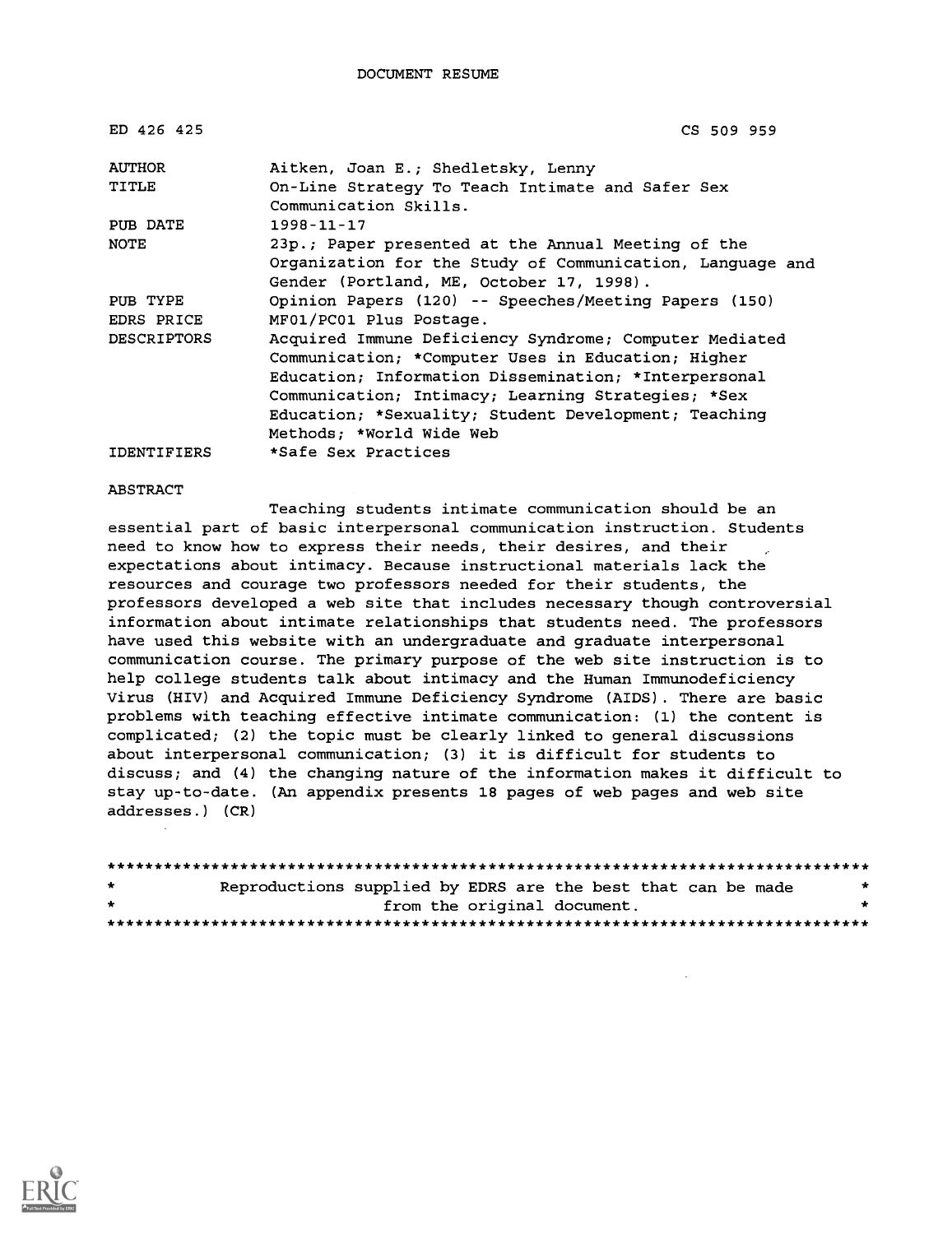| ED 426 425         | CS 509 959                                                |
|--------------------|-----------------------------------------------------------|
| AUTHOR             | Aitken, Joan E.; Shedletsky, Lenny                        |
| TITLE              | On-Line Strategy To Teach Intimate and Safer Sex          |
|                    | Communication Skills.                                     |
| PUB DATE           | $1998 - 11 - 17$                                          |
| NOTE               | 23p.; Paper presented at the Annual Meeting of the        |
|                    | Organization for the Study of Communication, Language and |
|                    | Gender (Portland, ME, October 17, 1998).                  |
| PUB TYPE           | Opinion Papers (120) -- Speeches/Meeting Papers (150)     |
| EDRS PRICE         | MF01/PC01 Plus Postage.                                   |
| <b>DESCRIPTORS</b> | Acquired Immune Deficiency Syndrome; Computer Mediated    |
|                    | Communication; *Computer Uses in Education; Higher        |
|                    | Education; Information Dissemination; *Interpersonal      |
|                    | Communication; Intimacy; Learning Strategies; *Sex        |
|                    | Education; *Sexuality; Student Development; Teaching      |
|                    | Methods; *World Wide Web                                  |
| <b>IDENTIFIERS</b> | *Safe Sex Practices                                       |

ABSTRACT

Teaching students intimate communication should be an essential part of basic interpersonal communication instruction. Students need to know how to express their needs, their desires, and their expectations about intimacy. Because instructional materials lack the resources and courage two professors needed for their students, the professors developed a web site that includes necessary though controversial information about intimate relationships that students need. The professors have used this website with an undergraduate and graduate interpersonal communication course. The primary purpose of the web site instruction is to help college students talk about intimacy and the Human Immunodeficiency Virus (HIV) and Acquired Immune Deficiency Syndrome (AIDS). There are basic problems with teaching effective intimate communication: (1) the content is complicated; (2) the topic must be clearly linked to general discussions about interpersonal communication; (3) it is difficult for students to discuss; and (4) the changing nature of the information makes it difficult to stay up-to-date. (An appendix presents 18 pages of web pages and web site addresses.) (CR)

| $\star$ | Reproductions supplied by EDRS are the best that can be made |                             |  |  |  |  | * |
|---------|--------------------------------------------------------------|-----------------------------|--|--|--|--|---|
| $\star$ |                                                              | from the original document. |  |  |  |  |   |
|         |                                                              |                             |  |  |  |  |   |

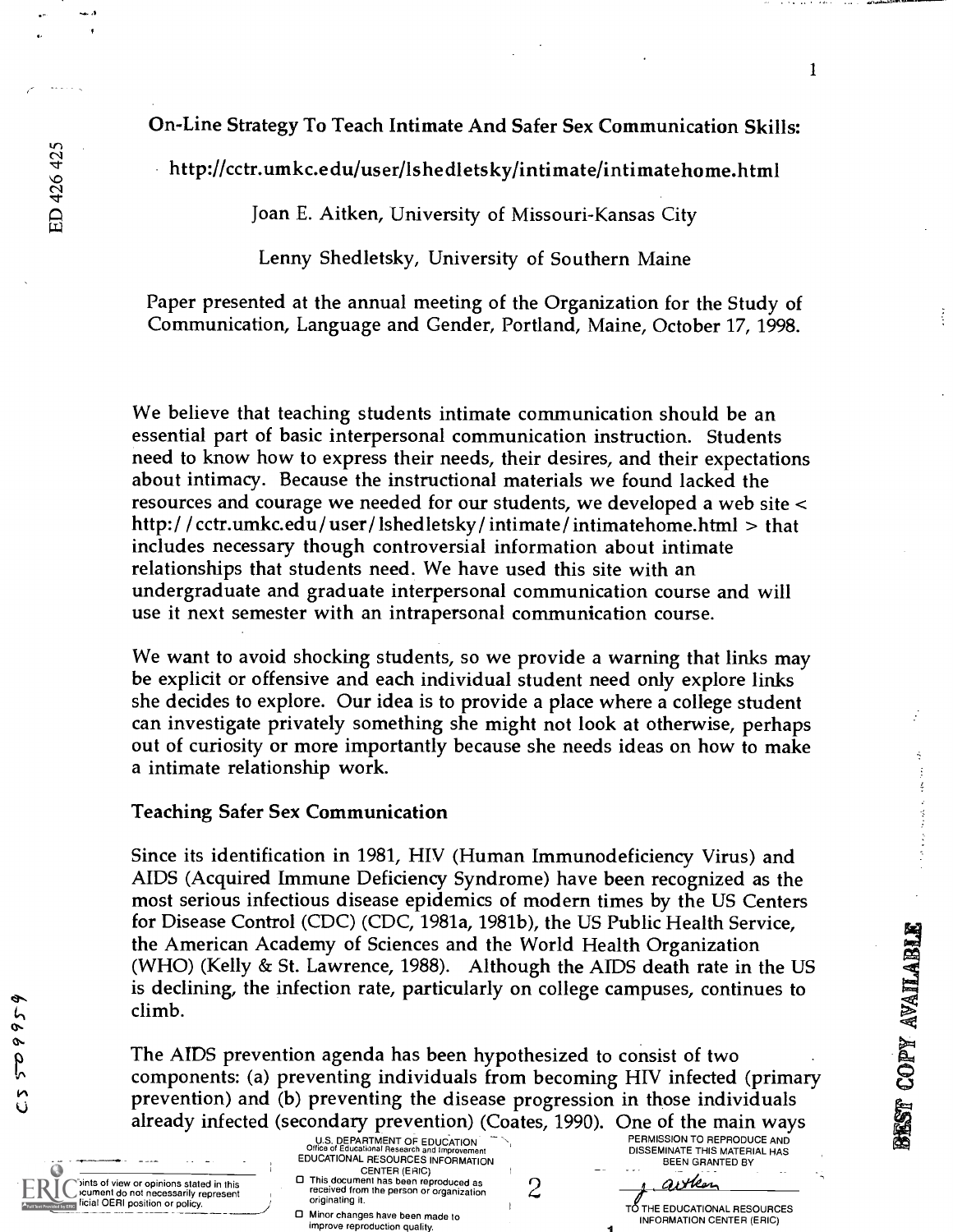ED 426 425

On-Line Strategy To Teach Intimate And Safer Sex Communication Skills:

http://cctr.umkc.edu/user/lshedletsky/intimate/intimatehome.html

Joan E. Aitken, University of Missouri-Kansas City

Lenny Shedletsky, University of Southern Maine

Paper presented at the annual meeting of the Organization for the Study of Communication, Language and Gender, Portland, Maine, October 17, 1998.

We believe that teaching students intimate communication should be an essential part of basic interpersonal communication instruction. Students need to know how to express their needs, their desires, and their expectations about intimacy. Because the instructional materials we found lacked the resources and courage we needed for our students, we developed a web site < http:/ / cctr.umkc.edu / user / lshedletsky / intimate/ intimatehome.html > that includes necessary though controversial information about intimate relationships that students need. We have used this site with an undergraduate and graduate interpersonal communication course and will use it next semester with an intrapersonal communication course.

We want to avoid shocking students, so we provide a warning that links may be explicit or offensive and each individual student need only explore links she decides to explore. Our idea is to provide a place where a college student can investigate privately something she might not look at otherwise, perhaps out of curiosity or more importantly because she needs ideas on how to make a intimate relationship work.

#### Teaching Safer Sex Communication

Since its identification in 1981, HIV (Human Immunodeficiency Virus) and AIDS (Acquired Immune Deficiency Syndrome) have been recognized as the most serious infectious disease epidemics of modern times by the US Centers for Disease Control (CDC) (CDC, 1981a, 1981b), the US Public Health Service, the American Academy of Sciences and the World Health Organization The American Academy of Sciences and the World Health Organization<br>
(WHO) (Kelly & St. Lawrence, 1988). Although the AIDS death rate in the US<br>
is declining, the infection rate, particularly on college campuses, continues is declining, the infection rate, particularly on college campuses, continues to climb.

The AIDS prevention agenda has been hypothesized to consist of two components: (a) preventing individuals from becoming HIV infected (primary prevention) and (b) preventing the disease progression in those individuals already infected (secondary prevention) (Coates, 1990). One of the main ways<br>RERMISSION TO REPRODUCE AND

I

2  $\rightarrow$ 

ints of view or opinions stated in this<br>Coument do not necessarily represent ficial OERI position or policy.

 $656602$ 

 $\triangleright$ 

- U.S. DEPARTMENT OF EDUCATION This of Educational Research and Improvement EDUCATIONAL RESOURCES INFORMATION CENTER (ERIC) , 0 This document has been reproduced as
- This document has been reproduced as received from the person or organization  $\sim$ originating it. Minor changes have been made to
- improve reproduction quality.

PERMISSION TO REPRODUCE AND DISSEMINATE THIS MATERIAL HAS BEEN GRANTED BY

 $\imath$ rylen TO THE EDUCATIONAL RESOURCES INFORMATION CENTER (ERIC)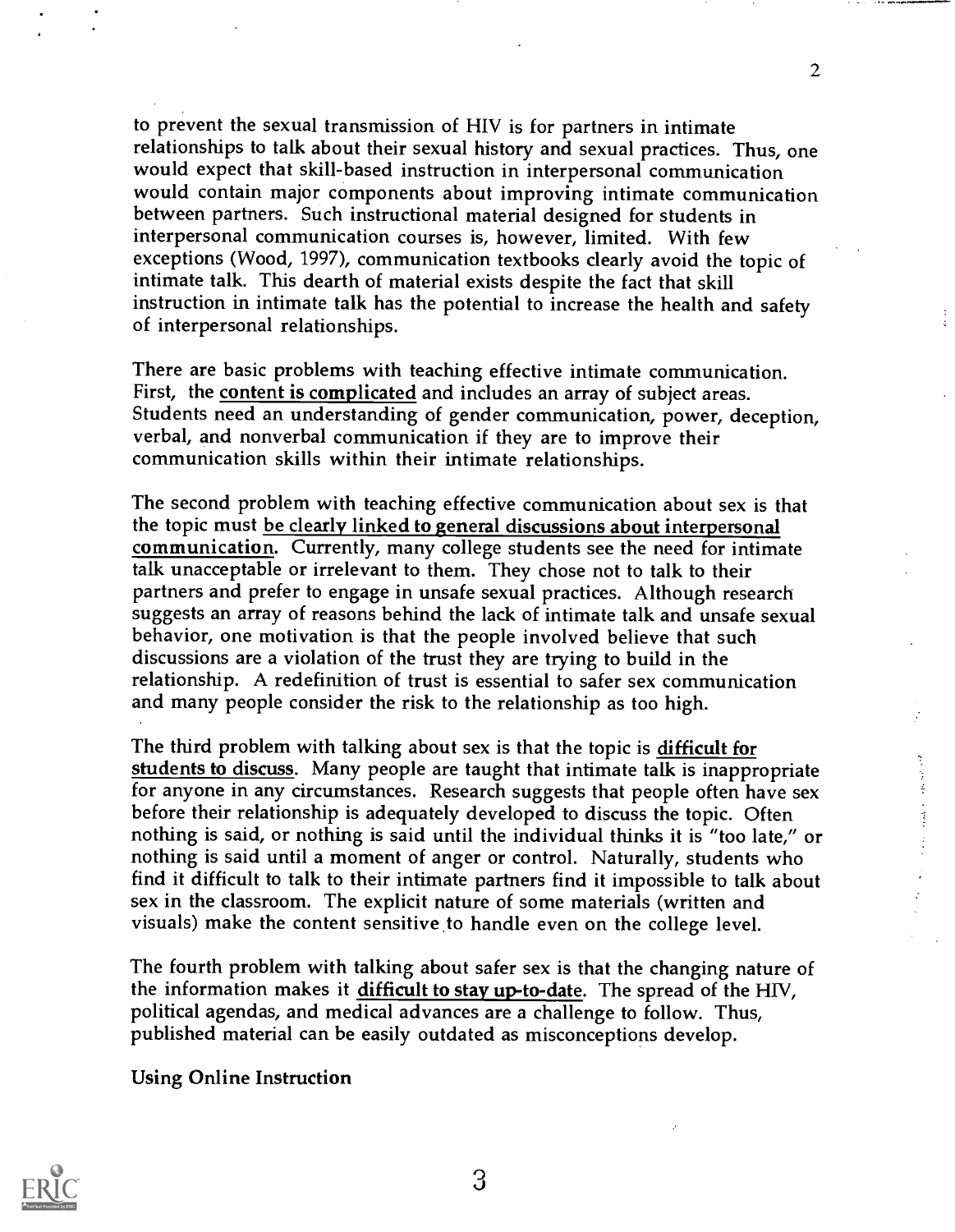to prevent the sexual transmission of HIV is for partners in intimate relationships to talk about their sexual history and sexual practices. Thus, one would expect that skill-based instruction in interpersonal communication would contain major components about improving intimate communication between partners. Such instructional material designed for students in interpersonal communication courses is, however, limited. With few exceptions (Wood, 1997), communication textbooks clearly avoid the topic of intimate talk. This dearth of material exists despite the fact that skill instruction in intimate talk has the potential to increase the health and safety of interpersonal relationships.

2

There are basic problems with teaching effective intimate communication. First, the content is complicated and includes an array of subject areas. Students need an understanding of gender communication, power, deception, verbal, and nonverbal communication if they are to improve their communication skills within their intimate relationships.

The second problem with teaching effective communication about sex is that the topic must be clearly linked to general discussions about interpersonal communication. Currently, many college students see the need for intimate talk unacceptable or irrelevant to them. They chose not to talk to their partners and prefer to engage in unsafe sexual practices. Although research suggests an array of reasons behind the lack of intimate talk and unsafe sexual behavior, one motivation is that the people involved believe that such discussions are a violation of the trust they are trying to build in the relationship. A redefinition of trust is essential to safer sex communication and many people consider the risk to the relationship as too high.

The third problem with talking about sex is that the topic is difficult for students to discuss. Many people are taught that intimate talk is inappropriate for anyone in any circumstances. Research suggests that people often have sex before their relationship is adequately developed to discuss the topic. Often nothing is said, or nothing is said until the individual thinks it is "too late," or nothing is said until a moment of anger or control. Naturally, students who find it difficult to talk to their intimate partners find it impossible to talk about sex in the classroom. The explicit nature of some materials (written and visuals) make the content sensitive to handle even on the college level.

The fourth problem with talking about safer sex is that the changing nature of the information makes it difficult to stay up-to-date. The spread of the HIV, political agendas, and medical advances are a challenge to follow. Thus, published material can be easily outdated as misconceptions develop.

Using Online Instruction

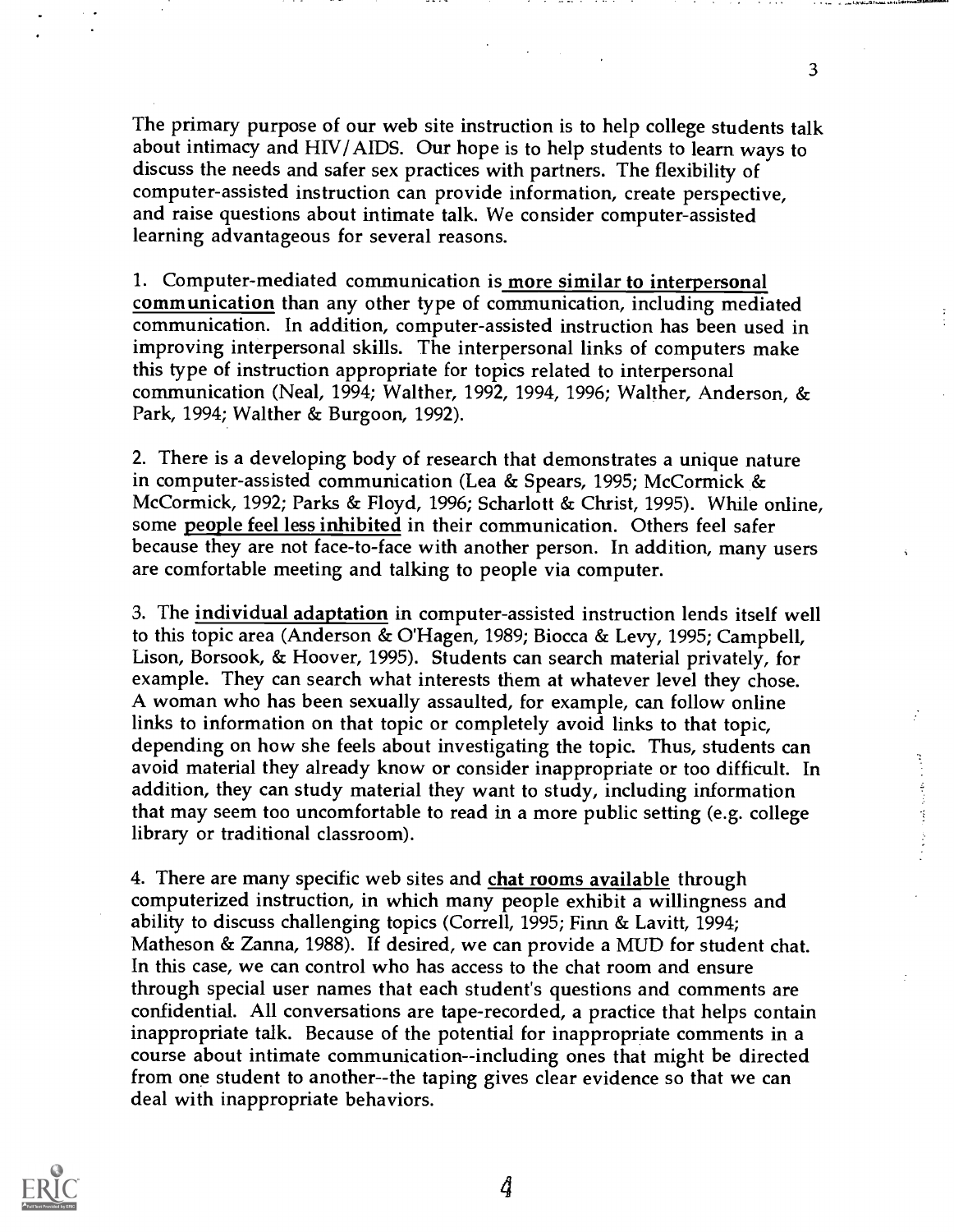The primary purpose of our web site instruction is to help college students talk about intimacy and HIV/ADS. Our hope is to help students to learn ways to discuss the needs and safer sex practices with partners. The flexibility of computer-assisted instruction can provide information, create perspective, and raise questions about intimate talk. We consider computer-assisted learning advantageous for several reasons.

3

 $\frac{1}{2}$ 

1. Computer-mediated communication is more similar to interpersonal communication than any other type of communication, including mediated communication. In addition, computer-assisted instruction has been used in improving interpersonal skills. The interpersonal links of computers make this type of instruction appropriate for topics related to interpersonal communication (Neal, 1994; Walther, 1992, 1994, 1996; Walther, Anderson, & Park, 1994; Walther & Burgoon, 1992).

2. There is a developing body of research that demonstrates a unique nature in computer-assisted communication (Lea & Spears, 1995; McCormick & McCormick, 1992; Parks & Floyd, 1996; Scharlott & Christ, 1995). While online, some people feel less inhibited in their communication. Others feel safer because they are not face-to-face with another person. In addition, many users are comfortable meeting and talking to people via computer.

3. The individual adaptation in computer-assisted instruction lends itself well to this topic area (Anderson & O'Hagen, 1989; Biocca & Levy, 1995; Campbell, Lison, Borsook, & Hoover, 1995). Students can search material privately, for example. They can search what interests them at whatever level they chose. A woman who has been sexually assaulted, for example, can follow online links to information on that topic or completely avoid links to that topic, depending on how she feels about investigating the topic. Thus, students can avoid material they already know or consider inappropriate or too difficult. In addition, they can study material they want to study, including information that may seem too uncomfortable to read in a more public setting (e.g. college library or traditional classroom).

4. There are many specific web sites and chat rooms available through computerized instruction, in which many people exhibit a willingness and ability to discuss challenging topics (Correll, 1995; Finn & Lavitt, 1994; Matheson & Zanna, 1988). If desired, we can provide a MUD for student chat. In this case, we can control who has access to the chat room and ensure through special user names that each student's questions and comments are confidential. All conversations are tape-recorded, a practice that helps contain inappropriate talk. Because of the potential for inappropriate comments in a course about intimate communication--including ones that might be directed from one student to another--the taping gives clear evidence so that we can deal with inappropriate behaviors.

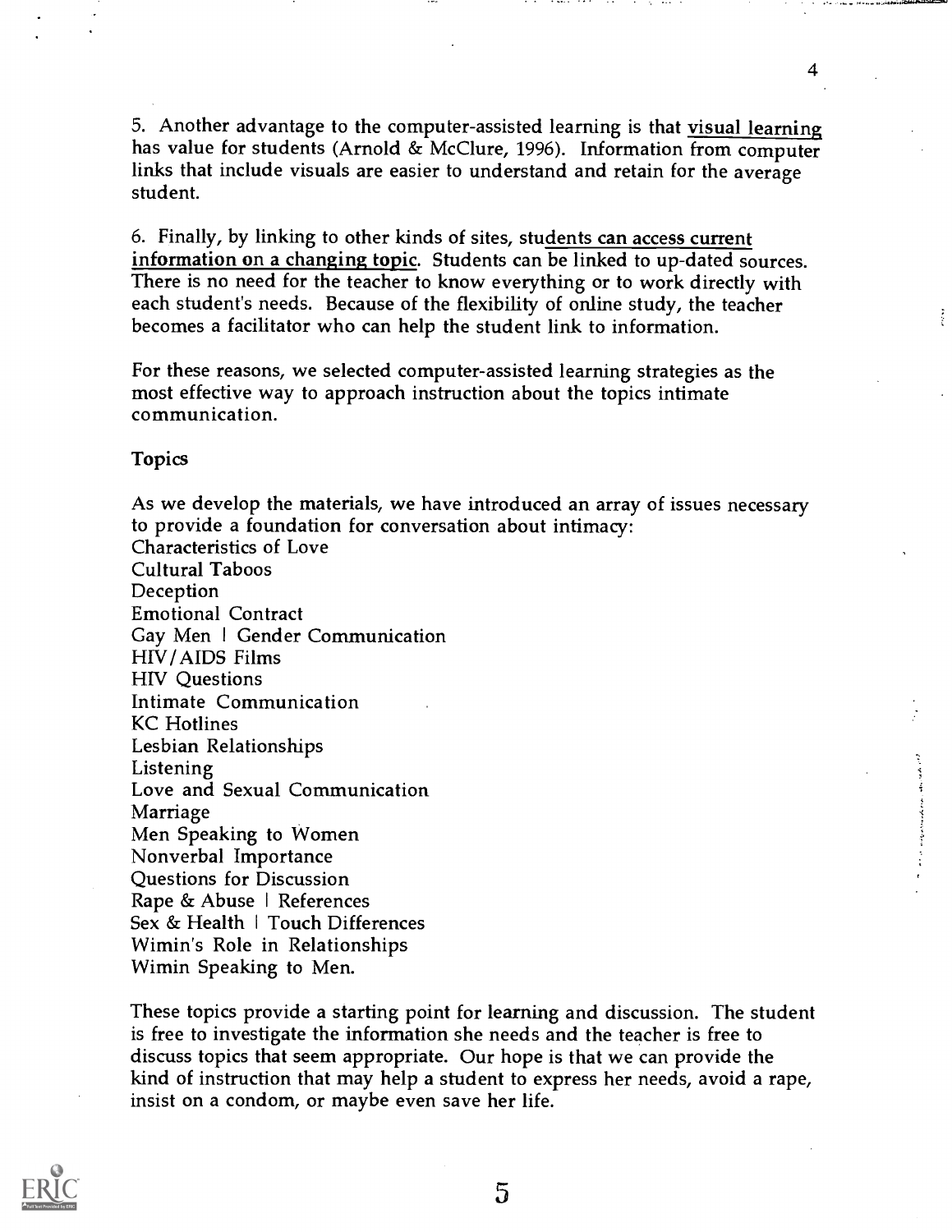5. Another advantage to the computer-assisted learning is that visual learning has value for students (Arnold & McClure, 1996). Information from computer links that include visuals are easier to understand and retain for the average student.

6. Finally, by linking to other kinds of sites, students can access current information on a changing topic. Students can be linked to up-dated sources. There is no need for the teacher to know everything or to work directly with each student's needs. Because of the flexibility of online study, the teacher becomes a facilitator who can help the student link to information.

For these reasons, we selected computer-assisted learning strategies as the most effective way to approach instruction about the topics intimate communication.

#### Topics

As we develop the materials, we have introduced an array of issues necessary to provide a foundation for conversation about intimacy: Characteristics of Love Cultural Taboos Deception Emotional Contract Gay Men | Gender Communication HIV/AIDS Films HIV Questions Intimate Communication KC Hotlines Lesbian Relationships Listening Love and Sexual Communication Marriage Men Speaking to Women Nonverbal Importance Questions for Discussion Rape & Abuse I References Sex & Health I Touch Differences Wimin's Role in Relationships Wimin Speaking to Men.

These topics provide a starting point for learning and discussion. The student is free to investigate the information she needs and the teacher is free to discuss topics that seem appropriate. Our hope is that we can provide the kind of instruction that may help a student to express her needs, avoid a rape, insist on a condom, or maybe even save her life.

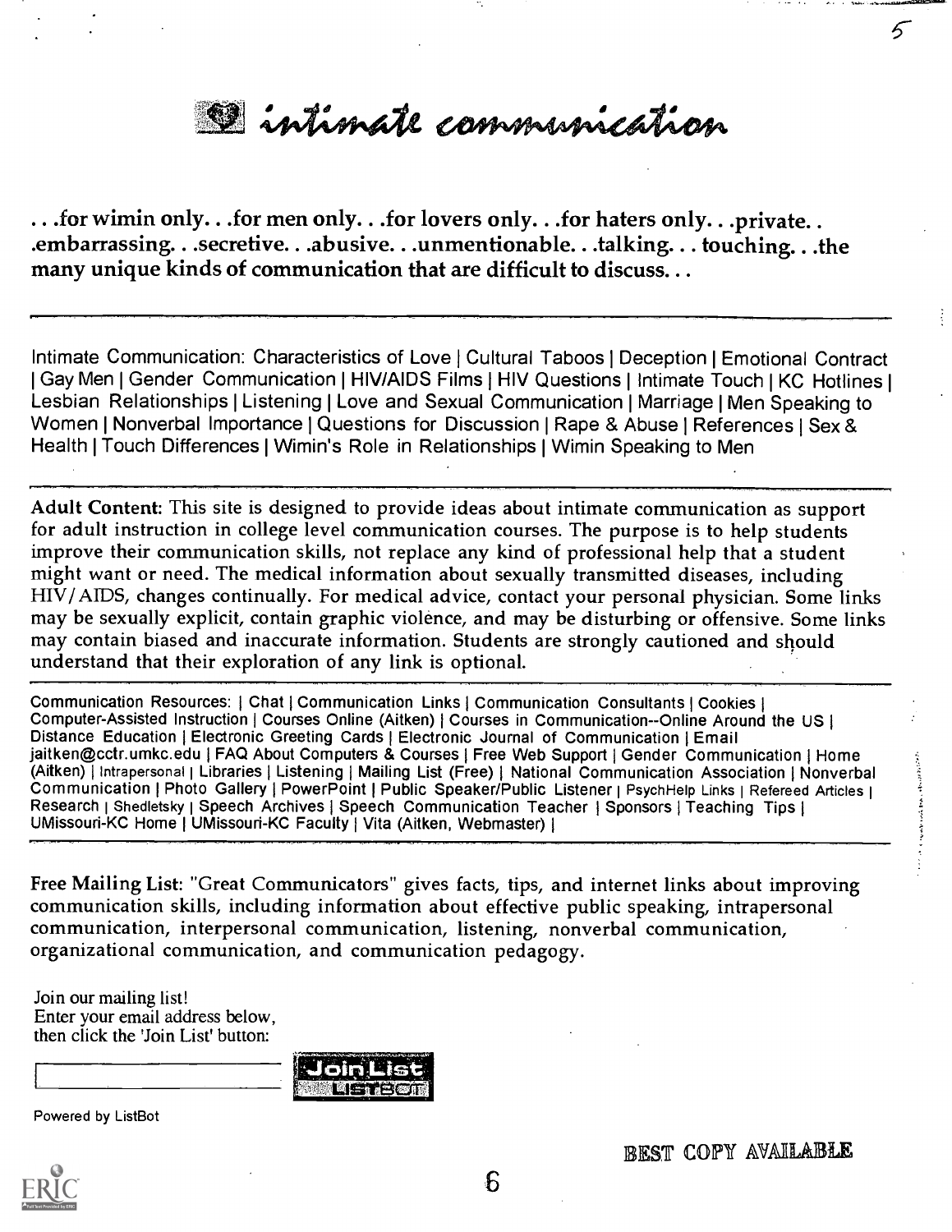**De intinate communication** 

. . .for wimin only. . .for men only. . .for lovers only. . .for haters only. . .private. .<br>embarrassing. . .secretive. . .abusive. . .unmentionable. . .talking. . . touching. . .the. many unique kinds of communication that are difficult to discuss. . .

Intimate Communication: Characteristics of Love | Cultural Taboos | Deception | Emotional Contract I Gay Men | Gender Communication | HIV/AIDS Films | HIV Questions | Intimate Touch | KC Hotlines | Lesbian Relationships | Listening | Love and Sexual Communication | Marriage | Men Speaking to Women | Nonverbal Importance | Questions for Discussion | Rape & Abuse | References | Sex & Health | Touch Differences | Wimin's Role in Relationships | Wimin Speaking to Men

Adult Content: This site is designed to provide ideas about intimate communication as support for adult instruction in college level communication courses. The purpose is to help students improve their communication skills, not replace any kind of professional help that a student might want or need. The medical information about sexually transmitted diseases, including HIV/ AIDS, changes continually. For medical advice, contact your personal physician. Some links may be sexually explicit, contain graphic violence, and may be disturbing or offensive. Some links may contain biased and inaccurate information. Students are strongly cautioned and should understand that their exploration of any link is optional.

Communication Resources: | Chat | Communication Links | Communication Consultants | Cookies | Computer-Assisted Instruction | Courses Online (Aitken) | Courses in Communication--Online Around the US | Distance Education | Electronic Greeting Cards | Electronic Journal of Communication | Email jaitken@cctr.umkc.edu | FAQ About Computers & Courses | Free Web Support | Gender Communication | Home (Aitken) | Intrapersonal | Libraries | Listening | Mailing List (Free) | National Communication Association | Nonverbal Communication | Photo Gallery | PowerPoint | Public Speaker/Public Listener | PsychHelp Links | Refereed Articles | Research | Shedletsky | Speech Archives | Speech Communication Teacher | Sponsors | Teaching Tips | UMissouri-KC Home | UMissouri-KC Faculty | Vita (Aitken, Webmaster) |

Free Mailing List: "Great Communicators" gives facts, tips, and internet links about improving communication skills, including information about effective public speaking, intrapersonal communication, interpersonal communication, listening, nonverbal communication, organizational communication, and communication pedagogy.

Join our mailing list! Enter your email address below, then click the 'Join List' button:



Powered by ListBot

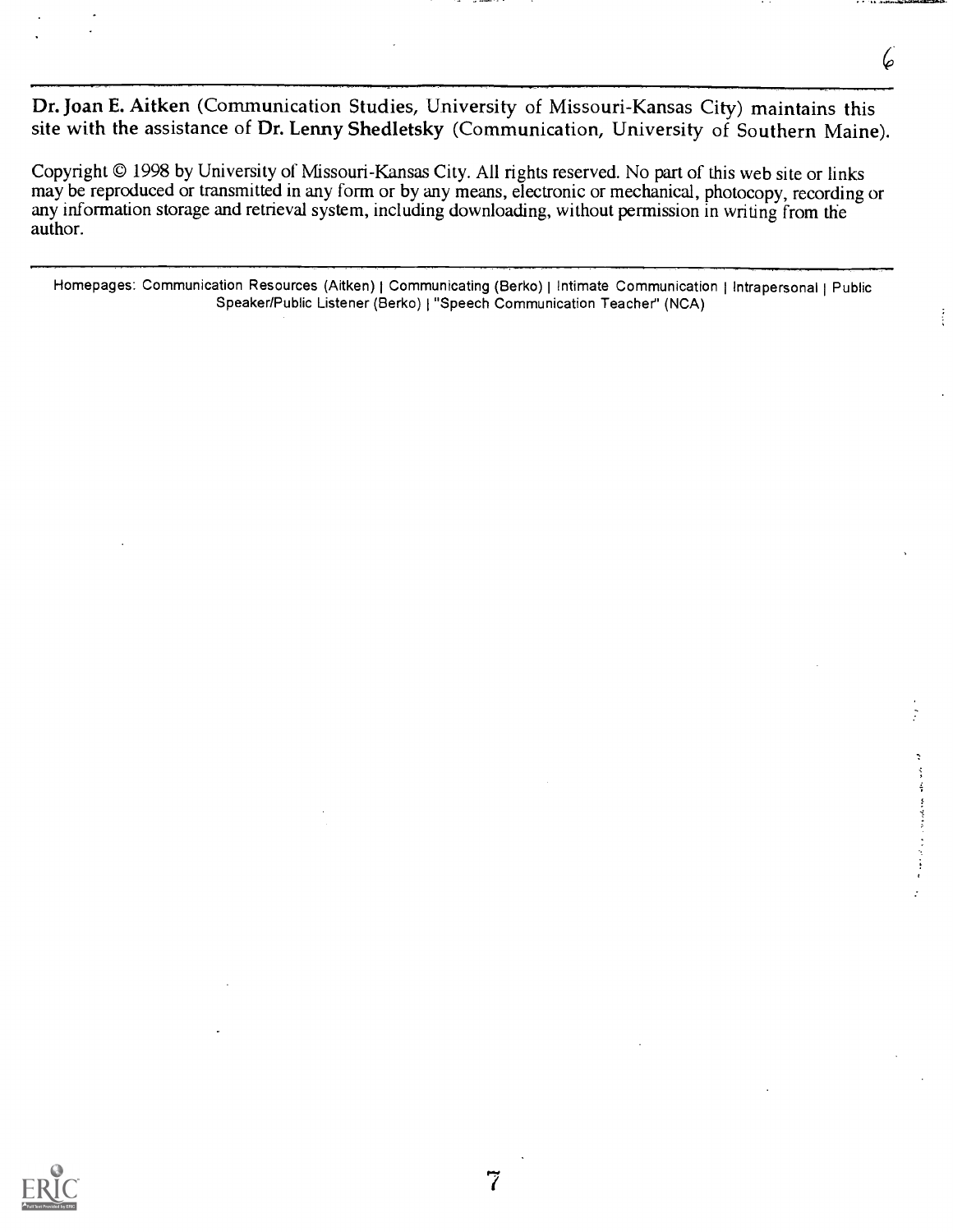Dr. Joan E. Aitken (Communication Studies, University of Missouri-Kansas City) maintains this site with the assistance of Dr. Lenny Shedletsky (Communication, University of Southern Maine).

6

 $\frac{1}{2}$ 

Copyright © 1998 by University of Missouri-Kansas City. All rights reserved. No part of this web site or links may be reproduced or transmitted in any form or by any means, electronic or mechanical, photocopy, recording or any information storage and retrieval system, including downloading, without permission in writing from the author.

Homepages: Communication Resources (Aitken) | Communicating (Berko) | Intimate Communication | Intrapersonal | Public Speaker/Public Listener (Berko) | "Speech Communication Teacher" (NCA)

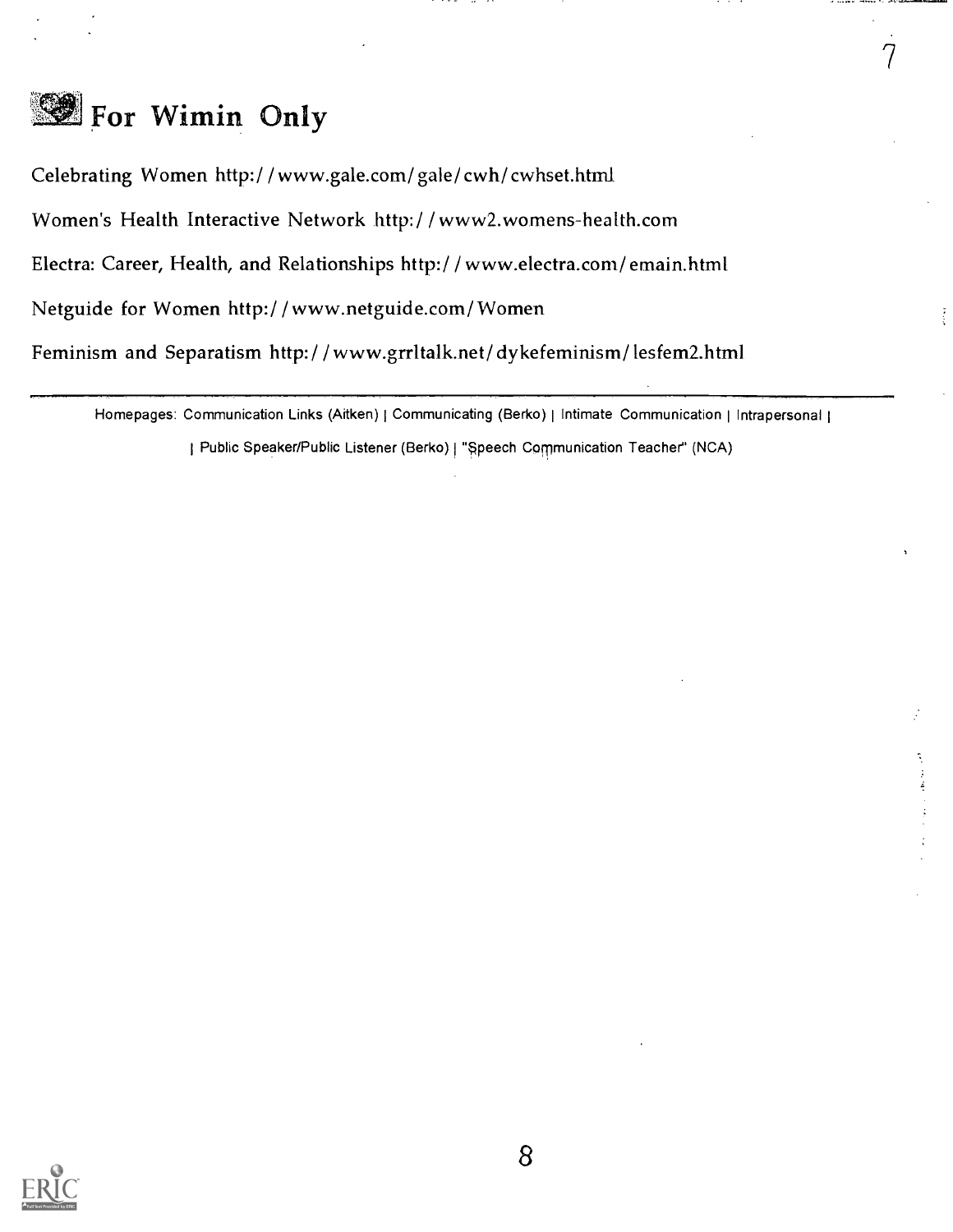# **1999** For Wimin Only

Celebrating Women http:/ / www.gale.com/ gale/ cwh/cwhset.html

Women's Health Interactive Network http:/ / www2.womens-health.com

Electra: Career, Health, and Relationships http://www.electra.com/emain.html

Netguide for Women http://www.netguide.com/Women

Feminism and Separatism http:/ /www.grrltalk.net/dykefeminism/lesfem2.html

Homepages: Communication Links (Aitken) | Communicating (Berko) | Intimate Communication | Intrapersonal | I Public Speaker/Public Listener (Berko) I "Speech Communication Teacher" (NCA)

š

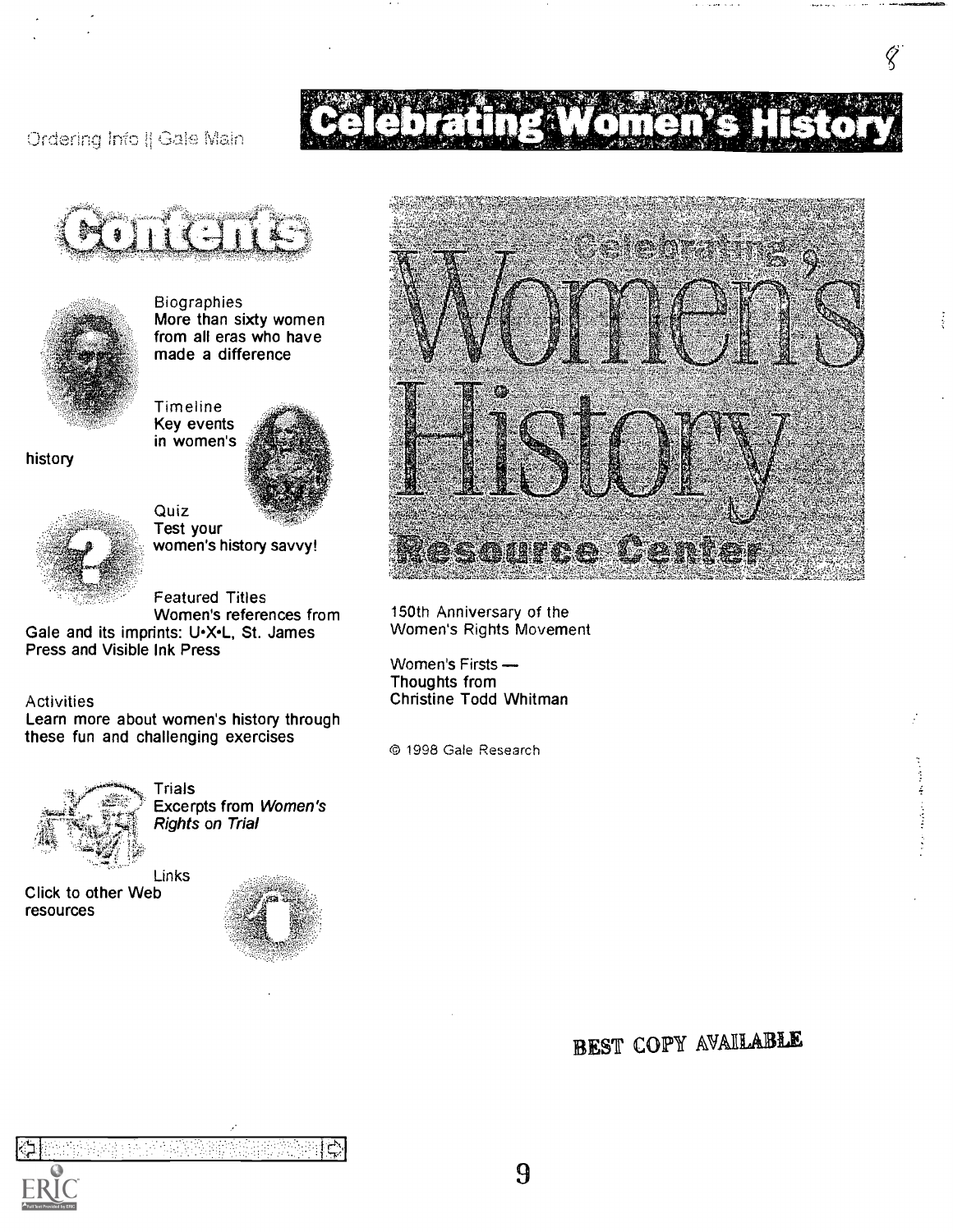Ordering Info II Gale Main

# $\bullet$  $\mathcal{H}^{\text{eff}}_{\text{eff}}(\mathcal{M}^{\text{eff}}_{\text{eff}}) = \mathcal{H}^{\text{eff}}_{\text{eff}}$  , and we have





history

Biographies More than sixty women from all eras who have made a difference

Timeline Key events in women's



Quiz Test your women's history savvy!

Featured Titles Women's references from

Gale and its imprints: U.X.L, St. James Press and Visible Ink Press

Activities

Learn more about women's history through these fun and challenging exercises



**Trials Excerpts from Women's** Rights on Trial

Links Click to other Web resources





 $\frac{1}{2}$ 

150th Anniversary of the Women's Rights Movement

Women's Firsts Thoughts from Christine Todd Whitman

1998 Gale Research

## BEST COPY AVAILABLE

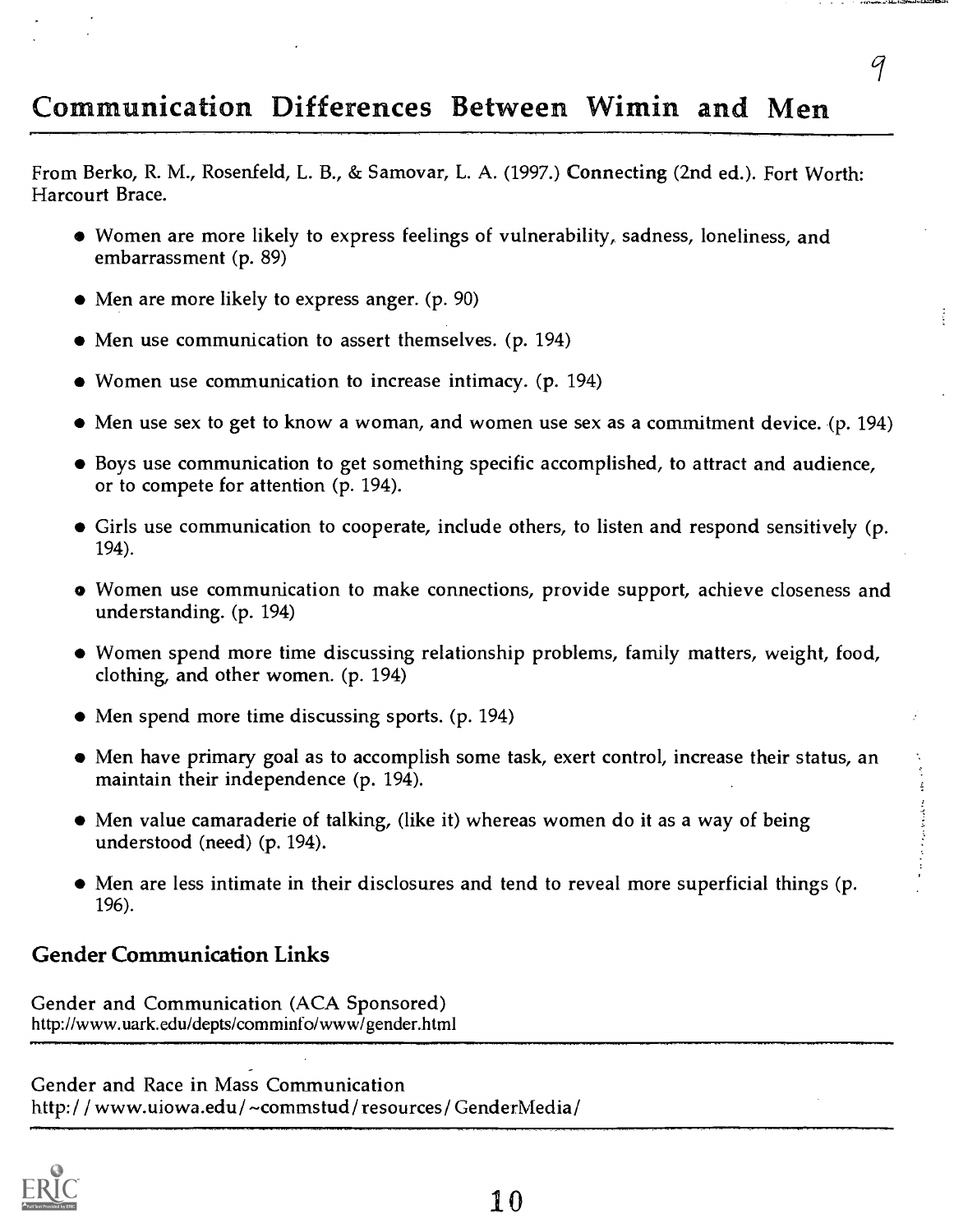## Communication Differences Between Wimin and Men

From Berko, R. M., Rosenfeld, L. B., & Samovar, L. A. (1997.) Connecting (2nd ed.). Fort Worth: Harcourt Brace.

9

- Women are more likely to express feelings of vulnerability, sadness, loneliness, and embarrassment (p. 89)
- Men are more likely to express anger. (p. 90)
- Men use communication to assert themselves. (p. 194)
- Women use communication to increase intimacy. (p. 194)
- Men use sex to get to know a woman, and women use sex as a commitment device. (p. 194)
- Boys use communication to get something specific accomplished, to attract and audience, or to compete for attention (p. 194).
- Girls use communication to cooperate, include others, to listen and respond sensitively (p. 194).
- Women use communication to make connections, provide support, achieve closeness and understanding. (p. 194)
- Women spend more time discussing relationship problems, family matters, weight, food, clothing, and other women. (p. 194)
- Men spend more time discussing sports. (p. 194)
- Men have primary goal as to accomplish some task, exert control, increase their status, an maintain their independence (p. 194).
- Men value camaraderie of talking, (like it) whereas women do it as a way of being understood (need) (p. 194).
- Men are less intimate in their disclosures and tend to reveal more superficial things (p. 196).

#### Gender Communication Links

Gender and Communication (ACA Sponsored) http://www.uark.edu/depts/comminfo/www/gender.html

Gender and Race in Mass Communication http://www.uiowa.edu/~commstud/resources/GenderMedia/

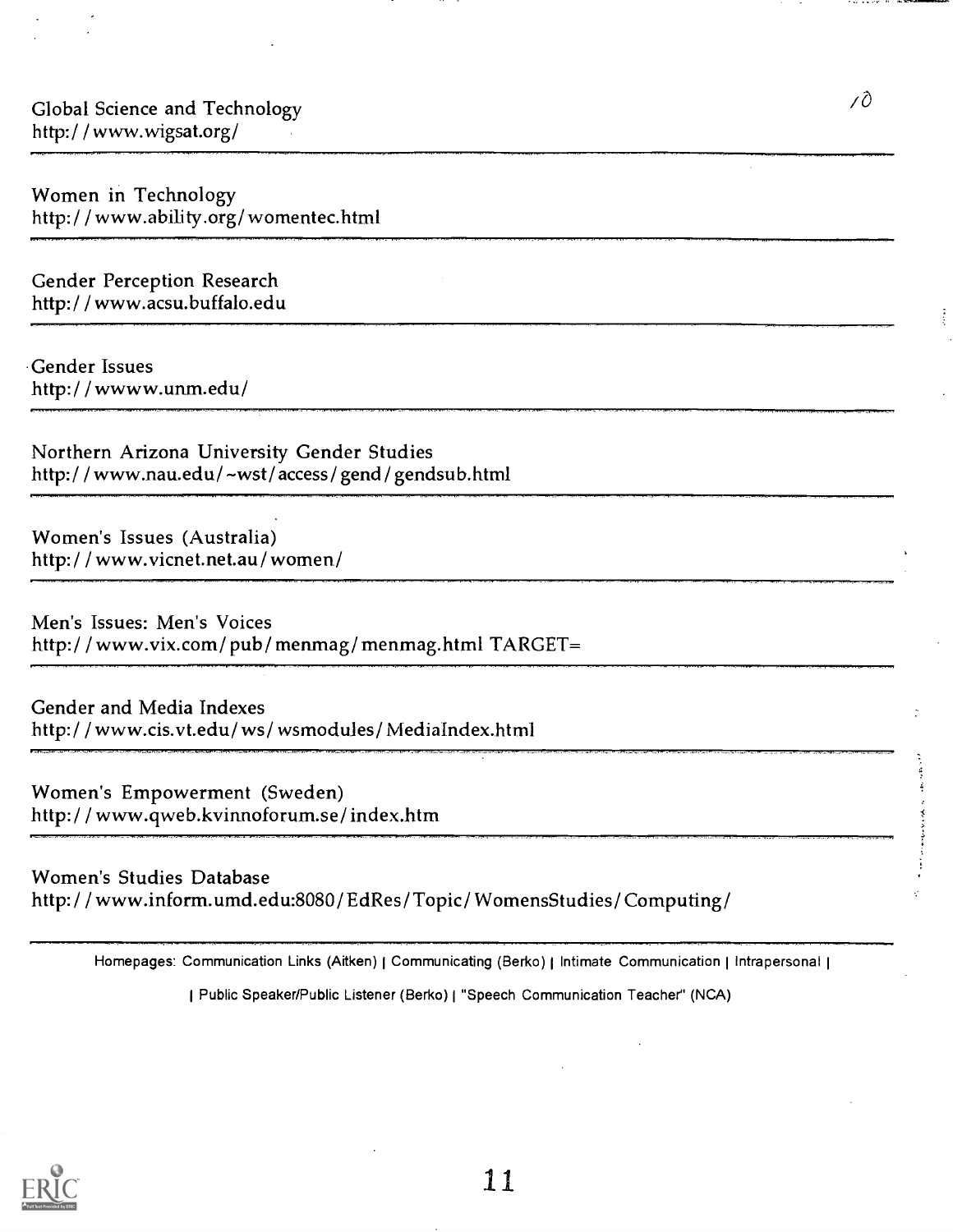Global Science and Technology http: / / www.wigsat.org/

Women in Technology http://www.ability.org/womentec.html

Gender Perception Research http:/ / www.acsu.buffalo.edu

Gender Issues http:/ / wwww.unm.edu/

Northern Arizona University Gender Studies http://www.nau.edu/~wst/access/gend/gendsub.html

Women's Issues (Australia) http:/ / www.vicnet.net.au/ women/

Men's Issues: Men's Voices http://www.vix.com/pub/menmag/menmag.html TARGET=

Gender and Media Indexes http: / / www.cis.vt.edu/ ws/ wsmodules/ Medialndex. html

Women's Empowerment (Sweden) http:/ / www.qweb.kvinnoforum.se/index.htm

Women's Studies Database http:/ / www.inform.umd.edu:8080 / EdRes/ Topic/ WomensStudies/ Computing/

Homepages: Communication Links (Aitken) | Communicating (Berko) | Intimate Communication | Intrapersonal |

/6

I Public Speaker/Public Listener (Berko) I "Speech Communication Teacher" (NCA)

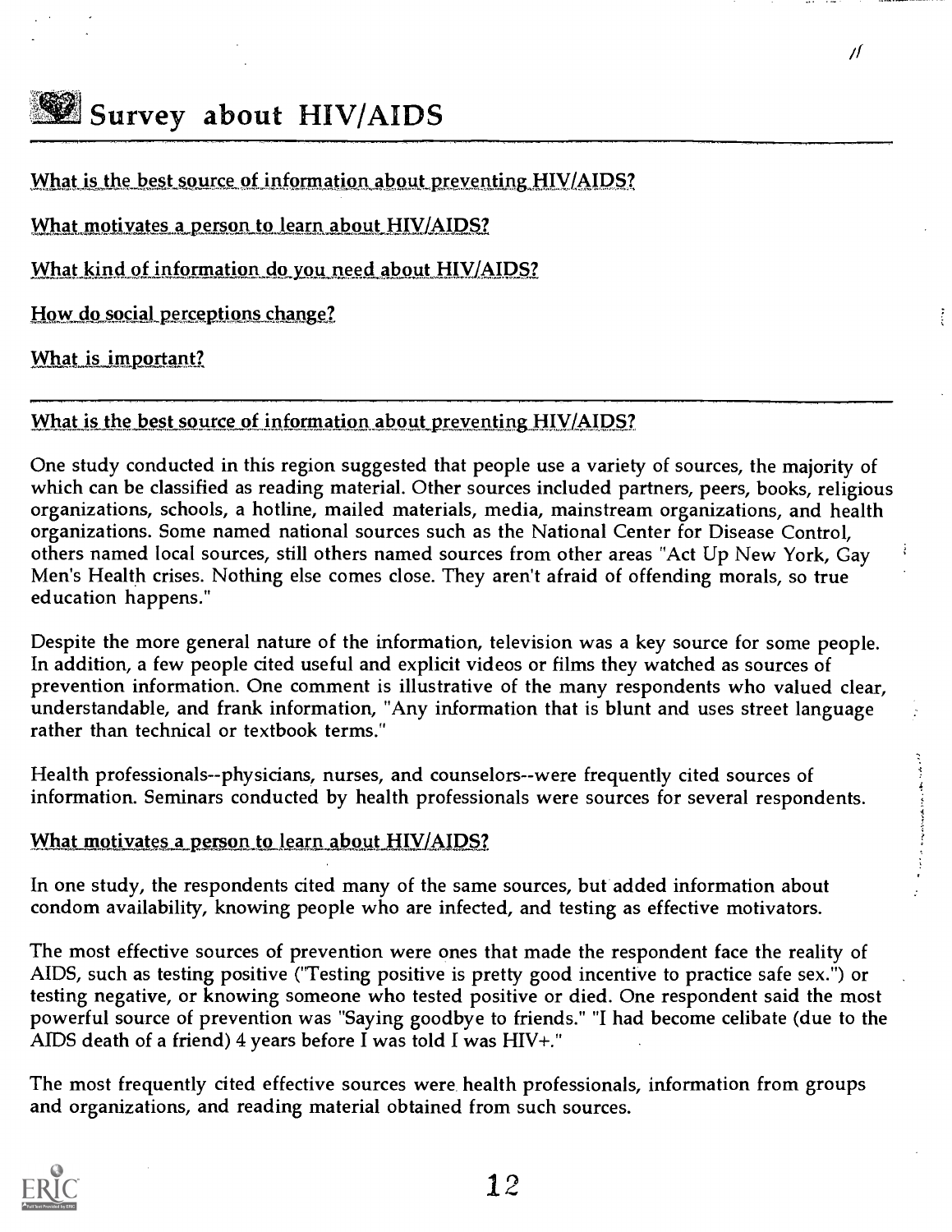# Survey about HIV/A1DS

What is the best source of information about preventing HIV/AIDS?

What motivates a person to learn about HIV/AIDS?

What kind of information do you need about HIV/AIDS?

How do social perceptions change?

What is important?

#### What is the best source of information about preventing HIV/AIDS?

One study conducted in this region suggested that people use a variety of sources, the majority of which can be classified as reading material. Other sources included partners, peers, books, religious organizations, schools, a hotline, mailed materials, media, mainstream organizations, and health organizations. Some named national sources such as the National Center for Disease Control, others named local sources, still others named sources from other areas "Act Up New York, Gay Men's Health crises. Nothing else comes close. They aren't afraid of offending morals, so true education happens."

/1

Despite the more general nature of the information, television was a key source for some people. In addition, a few people cited useful and explicit videos or films they watched as sources of prevention information. One comment is illustrative of the many respondents who valued clear, understandable, and frank information, "Any information that is blunt and uses street language rather than technical or textbook terms."

Health professionals--physicians, nurses, and counselors--were frequently cited sources of information. Seminars conducted by health professionals were sources for several respondents.

### What motivates a person to learn about HIV/AIDS?

In one study, the respondents cited many of the same sources, but added information about condom availability, knowing people who are infected, and testing as effective motivators.

The most effective sources of prevention were ones that made the respondent face the reality of AIDS, such as testing positive ("Testing positive is pretty good incentive to practice safe sex.") or testing negative, or knowing someone who tested positive or died. One respondent said the most powerful source of prevention was "Saying goodbye to friends." "I had become celibate (due to the AIDS death of a friend) 4 years before I was told I was HIV+."

The most frequently cited effective sources were health professionals, information from groups and organizations, and reading material obtained from such sources.

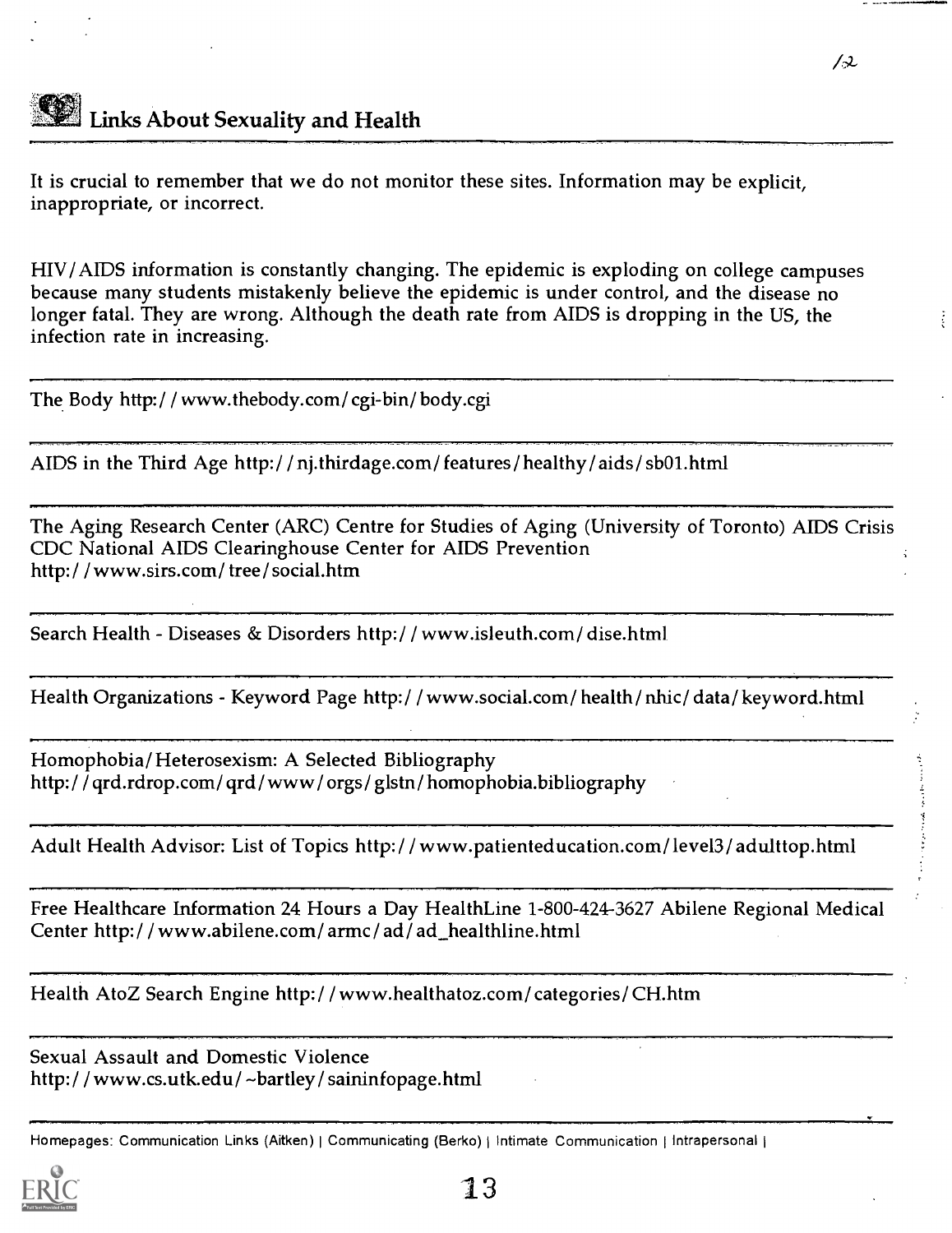Links About Sexuality and Health

It is crucial to remember that we do not monitor these sites. Information may be explicit, inappropriate, or incorrect.

HIV/AIDS information is constantly changing. The epidemic is exploding on college campuses because many students mistakenly believe the epidemic is under control, and the disease no longer fatal. They are wrong. Although the death rate from AIDS is dropping in the US, the infection rate in increasing.

 $/2$ 

The Body http:/ / www.thebody.com/ cgi-bin/ body.cgi

AIDS in the Third Age http:/ /nj.thirdage.com/ features/healthy/ aids/ sbOl.html

The Aging Research Center (ARC) Centre for Studies of Aging (University of Toronto) AIDS Crisis CDC National AIDS Clearinghouse Center for AIDS Prevention http: / / www.sirs.com/ tree/ social.htm

Search Health - Diseases & Disorders http://www.isleuth.com/dise.html

Health Organizations - Keyword Page http://www.social.com/health/nhic/data/keyword.html

Homophobia/ Heterosexism: A Selected Bibliography http:/ / qrd.rdrop.com/ qrd / www / orgs/ glstn/ homophobia.bibliography

Adult Health Advisor: List of Topics http:/ / www.patienteducation.com/level3/adulttop.html

Free Healthcare Information 24 Hours a Day HealthLine 1-800-424-3627 Abilene Regional Medical Center http:/ / www.abilene.com/ armc/ ad/ ad\_healthline.html

Health AtoZ Search Engine http://www.healthatoz.com/categories/CH.htm

Sexual Assault and Domestic Violence http://www.cs.utk.edu/~bartley/saininfopage.html

Homepages: Communication Links (Aitken) | Communicating (Berko) | Intimate Communication | Intrapersonal |

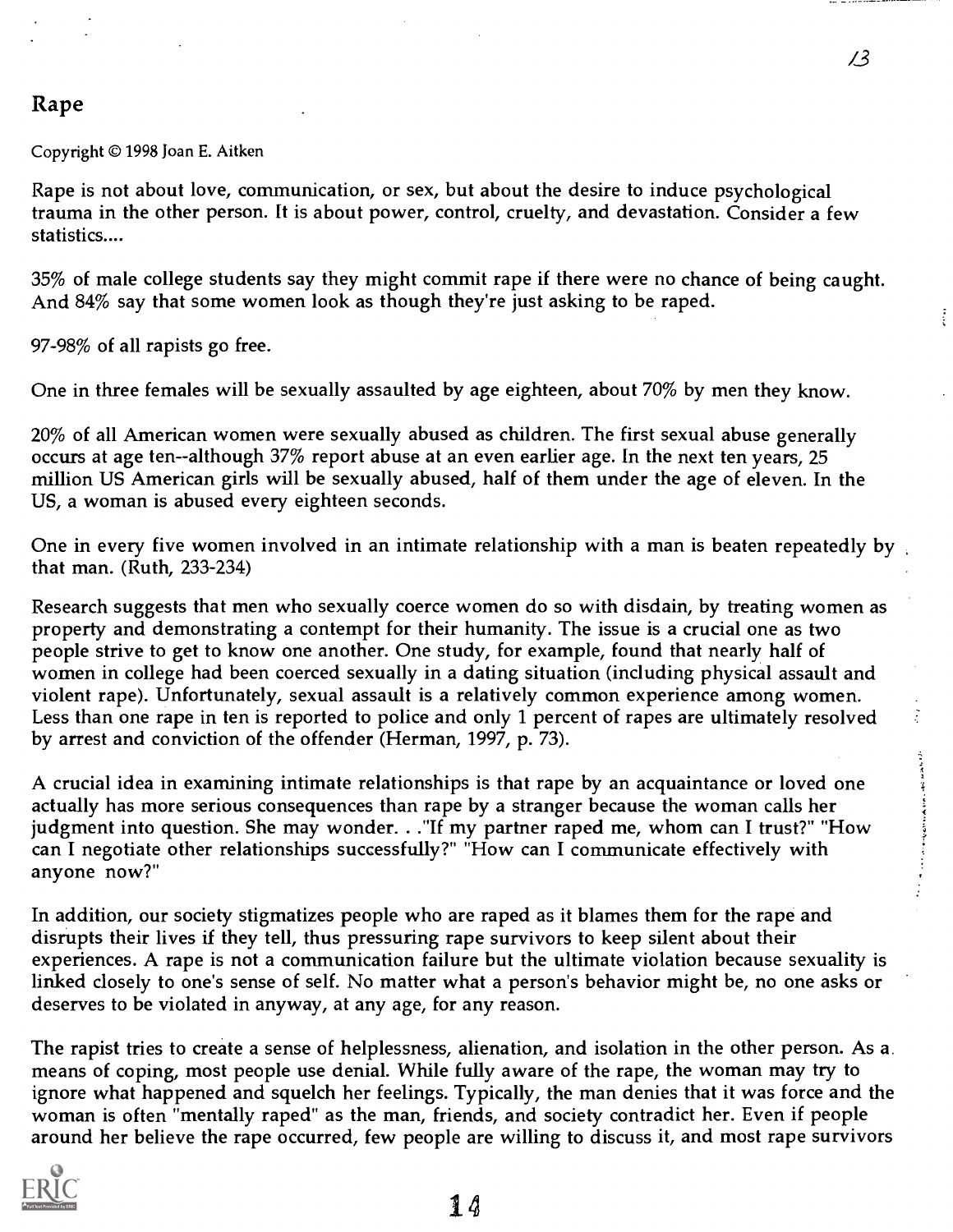$\ddot{\cdot}$ 

## Rape

Copyright © 1998 Joan E. Aitken

Rape is not about love, communication, or sex, but about the desire to induce psychological trauma in the other person. It is about power, control, cruelty, and devastation. Consider a few statistics....

35% of male college students say they might commit rape if there were no chance of being caught. And 84% say that some women look as though they're just asking to be raped.

97-98% of all rapists go free.

One in three females will be sexually assaulted by age eighteen, about 70% by men they know.

20% of all American women were sexually abused as children. The first sexual abuse generally occurs at age ten--although 37% report abuse at an even earlier age. In the next ten years, 25 million US American girls will be sexually abused, half of them under the age of eleven. In the US, a woman is abused every eighteen seconds.

One in every five women involved in an intimate relationship with a man is beaten repeatedly by that man. (Ruth, 233-234)

Research suggests that men who sexually coerce women do so with disdain, by treating women as property and demonstrating a contempt for their humanity. The issue is a crucial one as two people strive to get to know one another. One study, for example, found that nearly half of women in college had been coerced sexually in a dating situation (including physical assault and violent rape). Unfortunately, sexual assault is a relatively common experience among women. Less than one rape in ten is reported to police and only 1 percent of rapes are ultimately resolved by arrest and conviction of the offender (Herman, 1997, p. 73).

A crucial idea in examining intimate relationships is that rape by an acquaintance or loved one<br>actually has more serious consequences than rape by a stranger because the woman calls her<br>judgment into question. She may wo actually has more serious consequences than rape by a stranger because the woman calls her judgment into question. She may wonder. . ."If my partner raped me, whom can I trust?" "How can I negotiate other relationships successfully?" "How can I communicate effectively with anyone now?"

In addition, our society stigmatizes people who are raped as it blames them for the rape and disrupts their lives if they tell, thus pressuring rape survivors to keep silent about their experiences. A rape is not a communication failure but the ultimate violation because sexuality is linked closely to one's sense of self. No matter what a person's behavior might be, no one asks or deserves to be violated in anyway, at any age, for any reason.

The rapist tries to create a sense of helplessness, alienation, and isolation in the other person. As a. means of coping, most people use denial. While fully aware of the rape, the woman may try to ignore what happened and squelch her feelings. Typically, the man denies that it was force and the woman is often "mentally raped" as the man, friends, and society contradict her. Even if people around her believe the rape occurred, few people are willing to discuss it, and most rape survivors

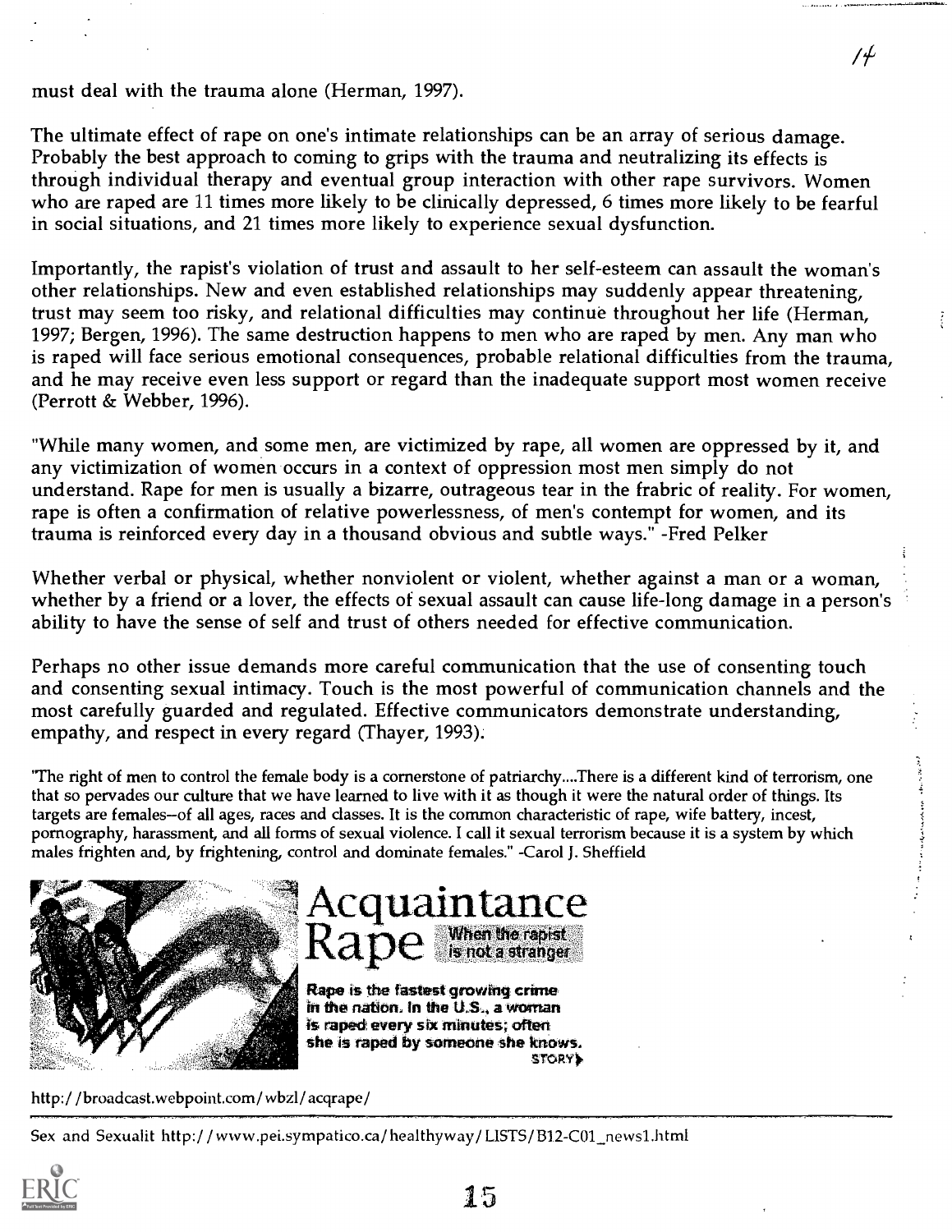must deal with the trauma alone (Herman, 1997).

The ultimate effect of rape on one's intimate relationships can be an array of serious damage. Probably the best approach to coming to grips with the trauma and neutralizing its effects is through individual therapy and eventual group interaction with other rape survivors. Women who are raped are 11 times more likely to be clinically depressed, 6 times more likely to be fearful in social situations, and 21 times more likely to experience sexual dysfunction.

Importantly, the rapist's violation of trust and assault to her self-esteem can assault the woman's other relationships. New and even established relationships may suddenly appear threatening, trust may seem too risky, and relational difficulties may continue throughout her life (Herman, 1997; Bergen, 1996). The same destruction happens to men who are raped by men. Any man who is raped will face serious emotional consequences, probable relational difficulties from the trauma, and he may receive even less support or regard than the inadequate support most women receive (Perrott & Webber, 1996).

"While many women, and some men, are victimized by rape, all women are oppressed by it, and any victimization of women occurs in a context of oppression most men simply do not understand. Rape for men is usually a bizarre, outrageous tear in the frabric of reality. For women, rape is often a confirmation of relative powerlessness, of men's contempt for women, and its trauma is reinforced every day in a thousand obvious and subtle ways." -Fred Pelker

Whether verbal or physical, whether nonviolent or violent, whether against a man or a woman, whether by a friend or a lover, the effects of sexual assault can cause life-long damage in a person's ability to have the sense of self and trust of others needed for effective communication.

Perhaps no other issue demands more careful communication that the use of consenting touch and consenting sexual intimacy. Touch is the most powerful of communication channels and the most carefully guarded and regulated. Effective communicators demonstrate understanding, empathy, and respect in every regard (Thayer, 1993).

'The right of men to control the female body is a cornerstone of patriarchy....There is a different kind of terrorism, one that so pervades our culture that we have learned to live with it as though it were the natural order of things. Its targets are females-of all ages, races and classes. It is the common characteristic of rape, wife battery, incest, pornography, harassment, and all forms of sexual violence. I call it sexual terrorism because it is a system by which males frighten and, by frightening, control and dominate females." -Carol J. Sheffield





Rape is the fastest growing crime in the nation, In the U.S., a woman is raped every six minutes; often she is raped by someone she knows. STORY

http:/ /broadcast.webpoint.com/ wbzl/ acqrape/

Sex and Sexualit http://www.pei.sympatico.ca/healthyway/LISTS/B12-C01\_news1.html

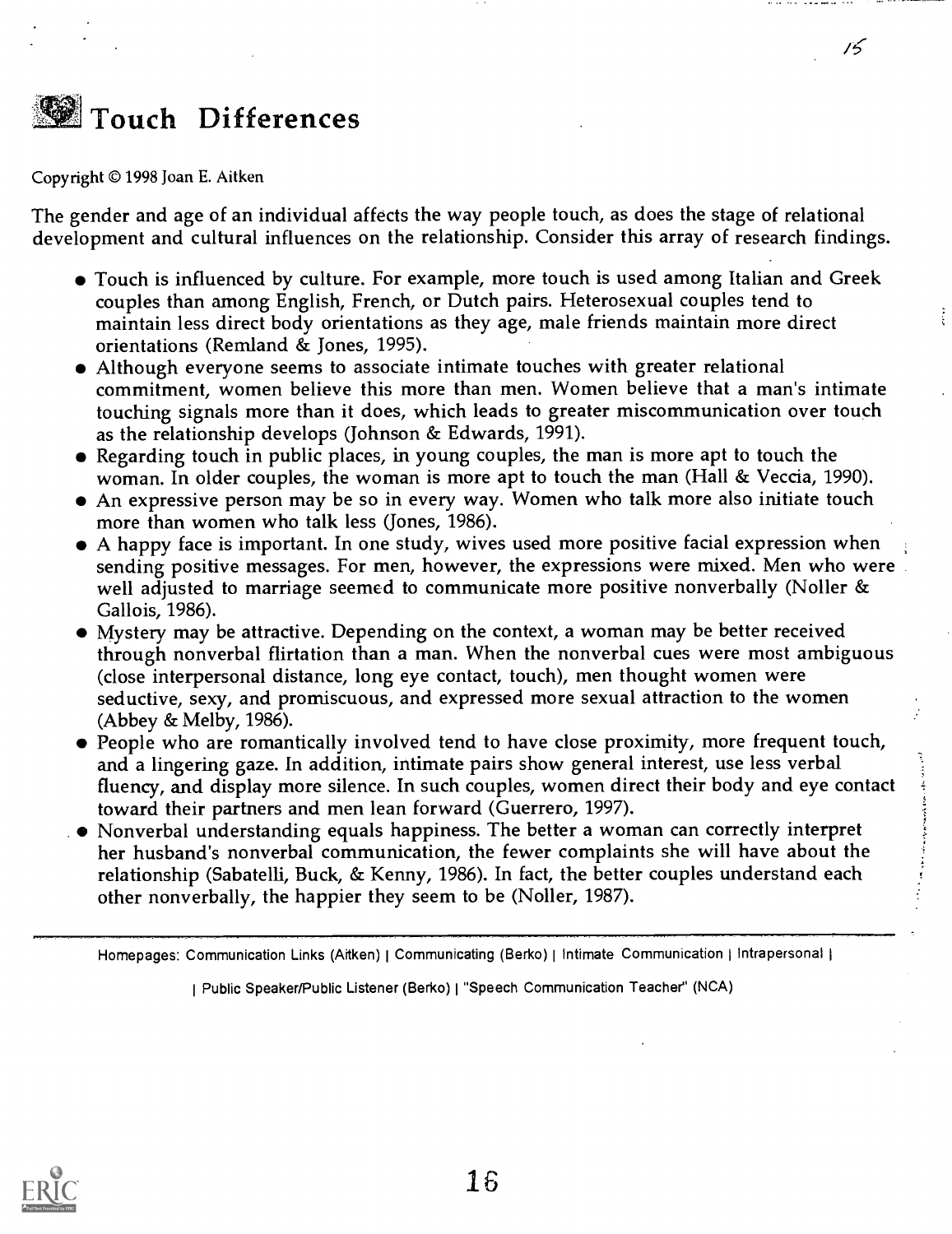

Copyright © 1998 Joan E. Aitken

The gender and age of an individual affects the way people touch, as does the stage of relational development and cultural influences on the relationship. Consider this array of research findings.

Touch is influenced by culture. For example, more touch is used among Italian and Greek couples than among English, French, or Dutch pairs. Heterosexual couples tend to maintain less direct body orientations as they age, male friends maintain more direct orientations (Remland & Jones, 1995).

 $15$ 

- Although everyone seems to associate intimate touches with greater relational commitment, women believe this more than men. Women believe that a man's intimate touching signals more than it does, which leads to greater miscommunication over touch as the relationship develops (Johnson & Edwards, 1991).
- Regarding touch in public places, in young couples, the man is more apt to touch the woman. In older couples, the woman is more apt to touch the man (Hall & Veccia, 1990).
- An expressive person may be so in every way. Women who talk more also initiate touch more than women who talk less (Jones, 1986).
- A happy face is important. In one study, wives used more positive facial expression when sending positive messages. For men, however, the expressions were mixed. Men who were well adjusted to marriage seemed to communicate more positive nonverbally (Noller  $\&$ Gallois, 1986).
- Mystery may be attractive. Depending on the context, a woman may be better received through nonverbal flirtation than a man. When the nonverbal cues were most ambiguous (close interpersonal distance, long eye contact, touch), men thought women were seductive, sexy, and promiscuous, and expressed more sexual attraction to the women (Abbey & Melby, 1986).
- People who are romantically involved tend to have close proximity, more frequent touch, and a lingering gaze. In addition, intimate pairs show general interest, use less verbal fluency, and display more silence. In such couples, women direct their body and eye contact toward their partners and men lean forward (Guerrero, 1997).
- Nonverbal understanding equals happiness. The better a woman can correctly interpret her husband's nonverbal communication, the fewer complaints she will have about the relationship (Sabatelli, Buck, & Kenny, 1986). In fact, the better couples understand each other nonverbally, the happier they seem to be (Noller, 1987).

Homepages: Communication Links (Aitken) | Communicating (Berko) | Intimate Communication | Intrapersonal |

<sup>I</sup> Public Speaker/Public Listener (Berko) I "Speech Communication Teacher" (NCA)

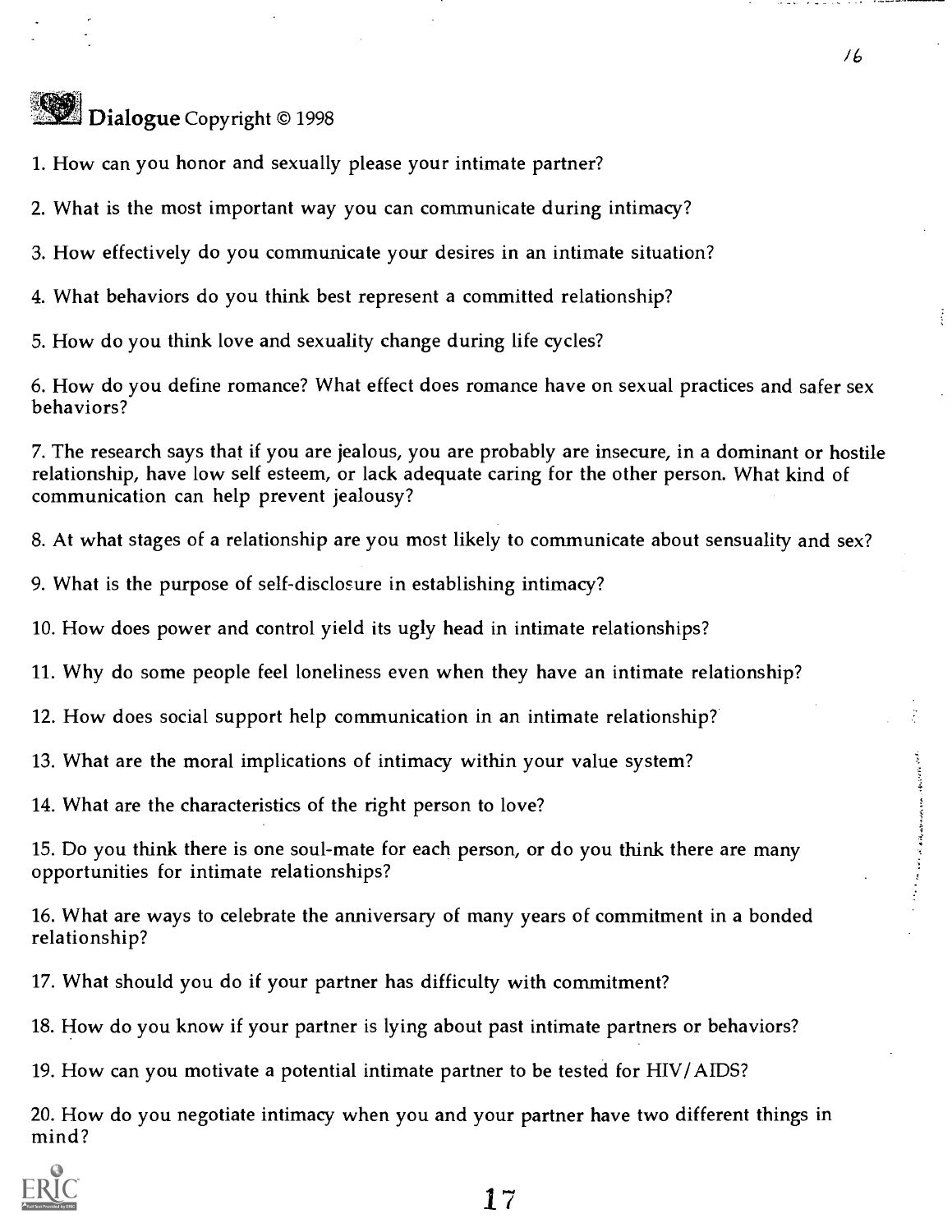# Dialogue Copyright © 1998

1. How can you honor and sexually please your intimate partner?

2. What is the most important way you can communicate during intimacy?

3. How effectively do you communicate your desires in an intimate situation?

4. What behaviors do you think best represent a committed relationship?

5. How do you think love and sexuality change during life cycles?

6. How do you define romance? What effect does romance have on sexual practices and safer sex behaviors?

7. The research says that if you are jealous, you are probably are insecure, in a dominant or hostile relationship, have low self esteem, or lack adequate caring for the other person. What kind of communication can help prevent jealousy?

8. At what stages of a relationship are you most likely to communicate about sensuality and sex?

9. What is the purpose of self-disclosure in establishing intimacy?

10. How does power and control yield its ugly head in intimate relationships?

11. Why do some people feel loneliness even when they have an intimate relationship?

12. How does social support help communication in an intimate relationship?

13. What are the moral implications of intimacy within your value system?

14. What are the characteristics of the right person to love?

15. Do you think there is one soul-mate for each person, or do you think there are many opportunities for intimate relationships?

16. What are ways to celebrate the anniversary of many years of commitment in a bonded relationship?

17. What should you do if your partner has difficulty with commitment?

18. How do you know if your partner is lying about past intimate partners or behaviors?

19. How can you motivate a potential intimate partner to be tested for HIV/AIDS?

20. How do you negotiate intimacy when you and your partner have two different things in mind?

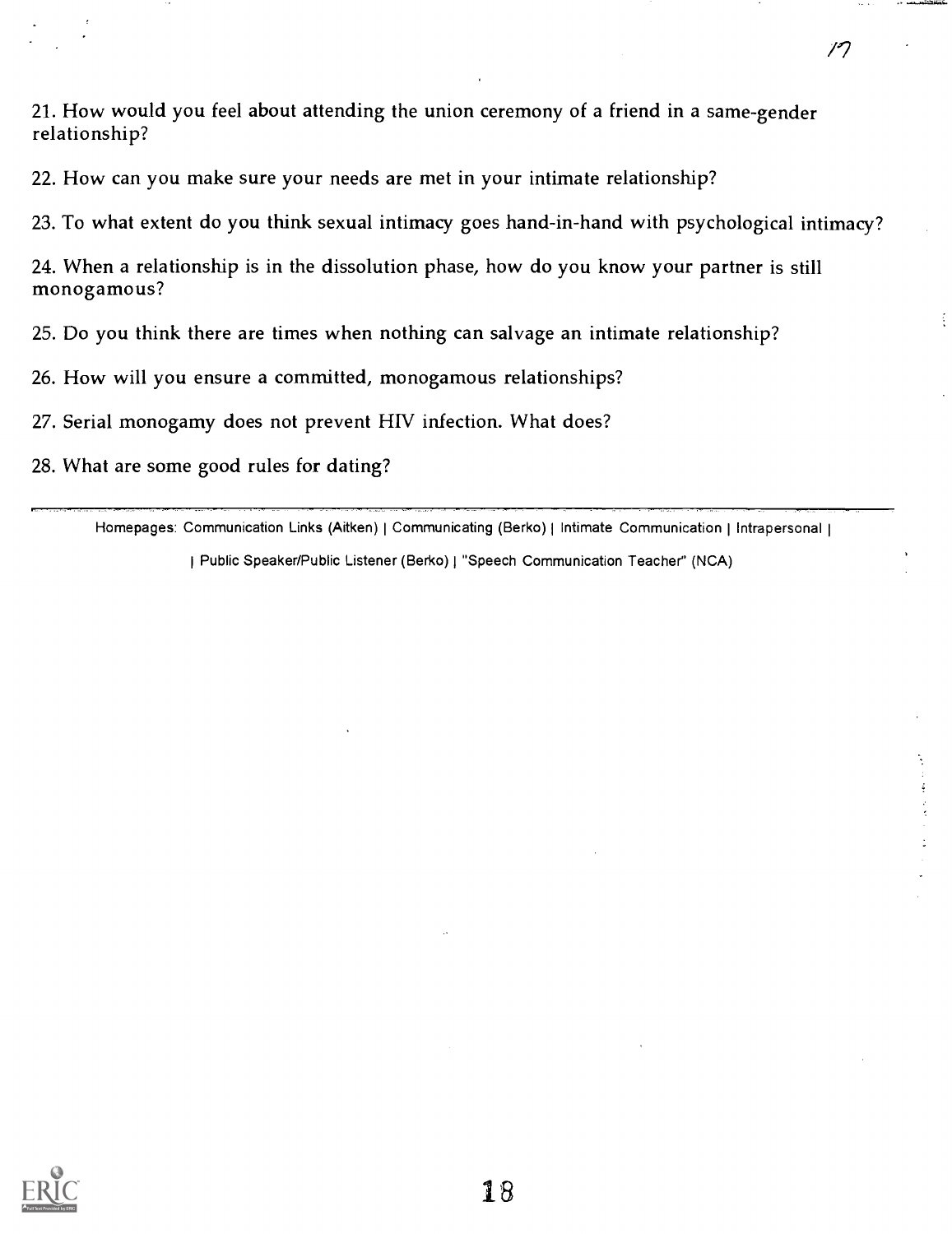21. How would you feel about attending the union ceremony of a friend in a same-gender relationship?

22. How can you make sure your needs are met in your intimate relationship?

23. To what extent do you think sexual intimacy goes hand-in-hand with psychological intimacy?

24. When a relationship is in the dissolution phase, how do you know your partner is still monogamous?

25. Do you think there are times when nothing can salvage an intimate relationship?

26. How will you ensure a committed, monogamous relationships?

27. Serial monogamy does not prevent HIV infection. What does?

28. What are some good rules for dating?

Homepages: Communication Links (Aitken) | Communicating (Berko) | Intimate Communication | Intrapersonal |

Public Speaker/Public Listener (Berko) I "Speech Communication Teacher' (NCA)

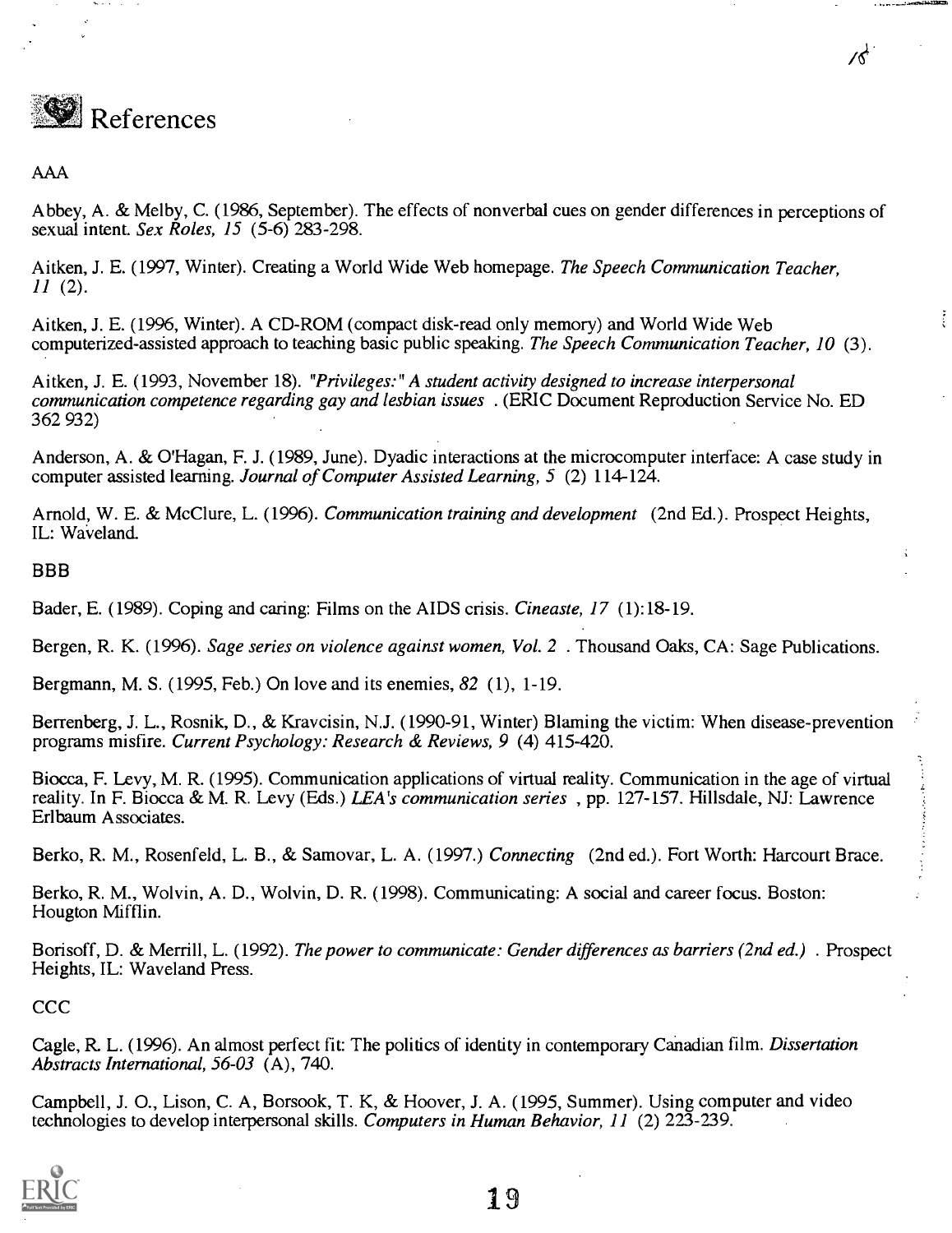

AAA

Abbey, A. & Melby, C. (1986, September). The effects of nonverbal cues on gender differences in perceptions of sexual intent. Sex Roles,  $15$  (5-6) 283-298.

Aitken, J. E. (1997, Winter). Creating a World Wide Web homepage. The Speech Communication Teacher.  $11(2)$ .

Aitken, J. E. (1996, Winter). A CD-ROM (compact disk-read only memory) and World Wide Web computerized-assisted approach to teaching basic public speaking. The Speech Communication Teacher, 10 (3).

Aitken, J. E. (1993, November 18). "Privileges:" A student activity designed to increase interpersonal communication competence regarding gay and lesbian issues . (ERIC Document Reproduction Service No. ED 362 932)

Anderson, A. & O'Hagan, F. J. (1989, June). Dyadic interactions at the microcomputer interface: A case study in computer assisted learning. Journal of Computer Assisted Learning,  $5$  (2) 114-124.

Arnold, W. E. & McClure, L. (1996). Communication training and development (2nd Ed.). Prospect Heights, IL: Waveland.

#### BBB

Bader, E. (1989). Coping and caring: Films on the AIDS crisis. *Cineaste*, 17 (1):18-19.

Bergen, R. K. (1996). Sage series on violence against women, Vol. 2. Thousand Oaks, CA: Sage Publications.

Bergmann, M. S. (1995, Feb.) On love and its enemies, 82 (1), 1-19.

Berrenberg, J. L., Rosnik, D., & Kravcisin, N.J. (1990-91, Winter) Blaming the victim: When disease-prevention programs misfire. Current Psychology: Research & Reviews, 9 (4) 415-420.

Biocca, F. Levy, M. R. (1995). Communication applications of virtual reality. Communication in the age of virtual reality. In F. Biocca & M. R. Levy (Eds.) LEA's communication series, pp. 127-157. Hillsdale, NJ: Lawrence Erlbaum Associates.

Berko, R. M., Rosenfeld, L. B., & Samovar, L. A. (1997.) Connecting (2nd ed.). Fort Worth: Harcourt Brace.

Berko, R. M., Wolvin, A. D., Wolvin, D. R. (1998). Communicating: A social and career focus. Boston: Hougton Mifflin.

Borisoff, D. & Merrill, L. (1992). The power to communicate: Gender differences as barriers (2nd ed.) . Prospect Heights, IL: Waveland Press.

**CCC** 

Cagle, R L. (1996). An almost perfect fit: The politics of identity in contemporary Canadian film. Dissertation Abstracts International, 56-03 (A), 740.

Campbell, J. 0., Lison, C. A, Borsook, T. K, & Hoover, J. A. (1995, Summer). Using computer and video technologies to develop interpersonal skills. Computers in Human Behavior, 11 (2) 223-239.

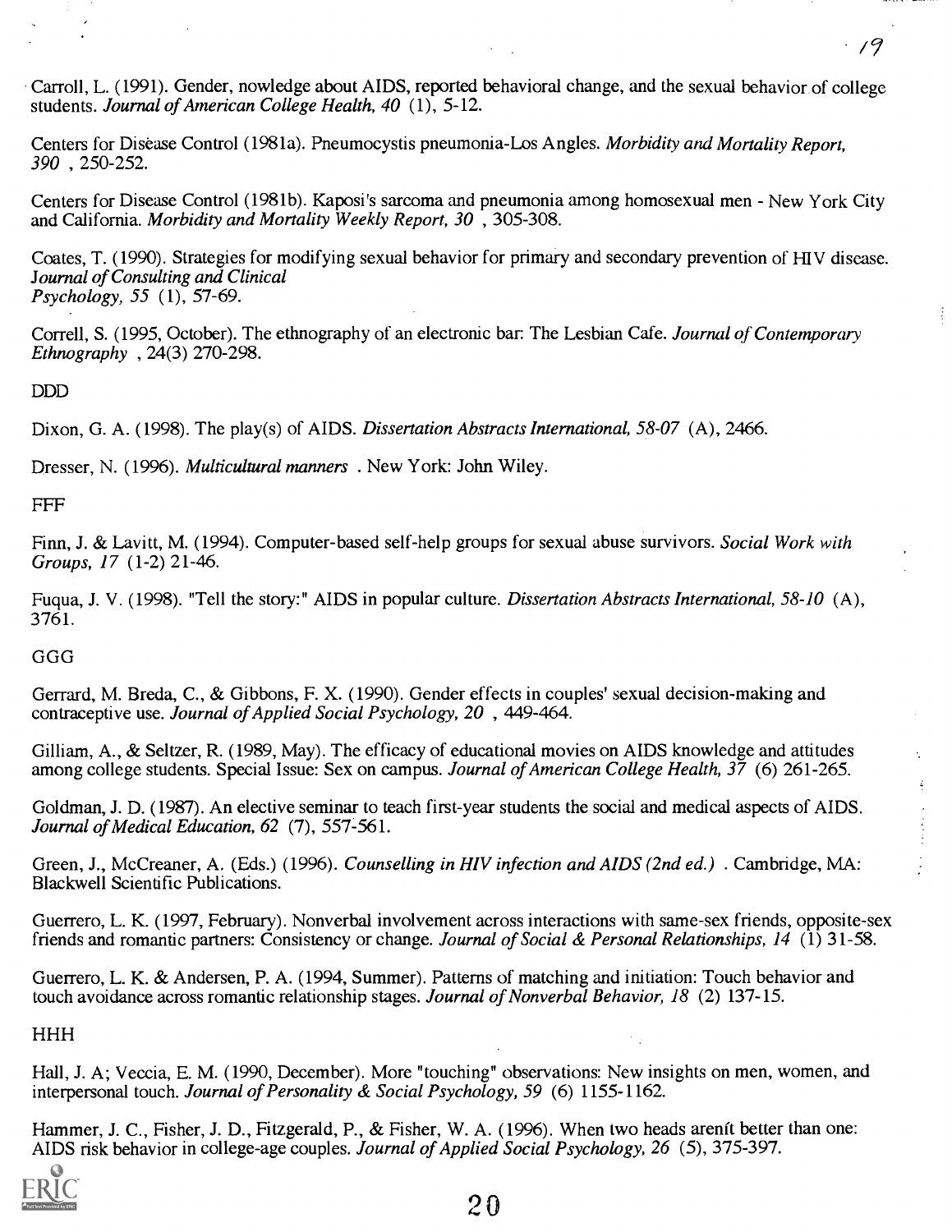Carroll, L. (1991). Gender, nowledge about AIDS, reported behavioral change, and the sexual behavior of college students. Journal of American College Health, 40 (1), 5-12.

/9

Centers for Disease Control (1981a). Pneumocystis pneumonia-Los Angles. Morbidity and Mortality Report, 390 , 250-252.

Centers for Disease Control (1981b). Kaposi's sarcoma and pneumonia among homosexual men - New York City and California. Morbidity and Mortality Weekly Report,  $30$ ,  $305-308$ .

Coates, T. (1990). Strategies for modifying sexual behavior for primary and secondary prevention of HIV disease. Journal of Consulting and Clinical Psychology, 55 (1), 57-69.

Correll, S. (1995, October). The ethnography of an electronic bar: The Lesbian Cafe. Journal of Contemporary Ethnography , 24(3) 270-298.

DDD

Dixon, G. A. (1998). The play(s) of AIDS. Dissertation Abstracts International, 58-07 (A), 2466.

Dresser, N. (1996). Multicultural manners . New York: John Wiley.

FFF

Finn, J. & Lavitt, M. (1994). Computer-based self-help groups for sexual abuse survivors. Social Work with Groups, 17 (1-2) 21-46.

Fuqua, J. V. (1998). "Tell the story:" AIDS in popular culture. Dissertation Abstracts International, 58-10 (A), 3761.

GGG

Gerrard, M. Breda, C., & Gibbons, F. X. (1990). Gender effects in couples' sexual decision-making and contraceptive use. Journal of Applied Social Psychology, 20 , 449-464.

Gilliam, A., & Seltzer, R. (1989, May). The efficacy of educational movies on AIDS knowledge and attitudes among college students. Special Issue: Sex on campus. Journal of American College Health,  $3\overline{7}$  (6) 261-265.

Goldman, J. D. (1987). An elective seminar to teach first-year students the social and medical aspects of AIDS. Journal of Medical Education, 62 (7), 557-561.

Green, J., McCreaner, A. (Eds.) (1996). Counselling in HIV infection and AIDS (2nd ed.) Cambridge, MA: Blackwell Scientific Publications.

Guerrero, L. K. (1997, February). Nonverbal involvement across interactions with same-sex friends, opposite-sex friends and romantic partners: Consistency or change. Journal of Social & Personal Relationships, 14 (1) 31-58.

Guerrero, L. K. & Andersen, P. A. (1994, Summer). Patterns of matching and initiation: Touch behavior and touch avoidance across romantic relationship stages. Journal of Nonverbal Behavior, 18 (2) 137-15.

HHH

Hall, J. A; Veccia, E. M. (1990, December). More "touching" observations: New insights on men, women, and interpersonal touch. Journal of Personality & Social Psychology, 59  $(6)$  1155-1162.

Hammer, J. C., Fisher, J. D., Fitzgerald, P., & Fisher, W. A. (1996). When two heads arenit better than one: AIDS risk behavior in college-age couples. Journal of Applied Social Psychology, 26 (5), 375-397.

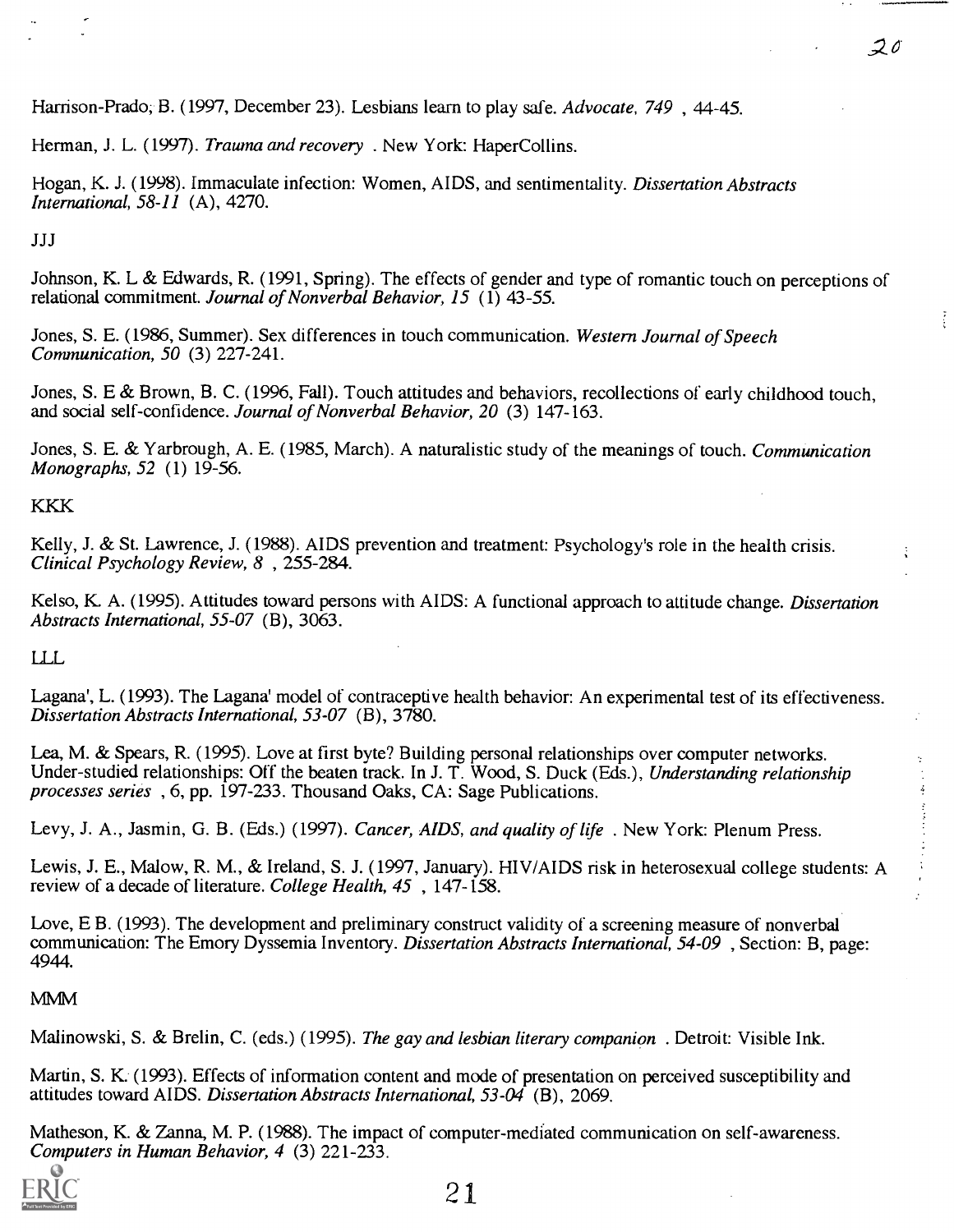Harrison-Prado, B. (1997, December 23). Lesbians learn to play safe. Advocate, 749, 44-45.

Herman, J. L. (1997). Trauma and recovery. New York: HaperCollins.

Hogan, K. J. (1998). Immaculate infection: Women, AIDS, and sentimentality. Dissertation Abstracts International, 58-11 (A), 4270.

#### JJJ

Johnson, K. L & Edwards, R. (1991, Spring). The effects of gender and type of romantic touch on perceptions of relational commitment. Journal of Nonverbal Behavior, 15 (1) 43-55.

Jones, S. E. (1986, Summer). Sex differences in touch communication. Western Journal of Speech Communication, 50 (3) 227-241.

Jones, S. E & Brown, B. C. (1996, Fall). Touch attitudes and behaviors, recollections of early childhood touch, and social self-confidence. Journal of Nonverbal Behavior, 20 (3) 147-163.

Jones, S. E. & Yarbrough, A. E. (1985, March). A naturalistic study of the meanings of touch. Communication Monographs, 52 (1) 19-56.

#### KKK

Kelly, J. & St. Lawrence, J. (1988). AIDS prevention and treatment: Psychology's role in the health crisis. Clinical Psychology Review, 8 , 255-284.

Kelso, K. A. (1995). Attitudes toward persons with AIDS: A functional approach to attitude change. Dissertation Abstracts International, 55-07 (B), 3063.

LLL

Lagana', L. (1993). The Lagana' model of contraceptive health behavior: An experimental test of its effectiveness. Dissertation Abstracts International, 53-07 (B), 3780.

Lea, M. & Spears, R. (1995). Love at first byte? Building personal relationships over computer networks. Under-studied relationships: Off the beaten track. In J. T. Wood, S. Duck (Eds.), Understanding relationship processes series , 6, pp. 197-233. Thousand Oaks, CA: Sage Publications.

Levy, J. A., Jasmin, G. B. (Eds.) (1997). Cancer, AIDS, and quality of life . New York: Plenum Press.

Lewis, J. E., Malow, R. M., & Ireland, S. J. (1997, January). HIV/AIDS risk in heterosexual college students: A review of a decade of literature. College Health, 45, 147-158.

Love, E B. (1993). The development and preliminary construct validity of a screening measure of nonverbal communication: The Emory Dyssemia Inventory. Dissertation Abstracts International, 54-09 , Section: B, page: 4944.

#### MMM

Malinowski, S. & Brelin, C. (eds.) (1995). The gay and lesbian literary companion . Detroit: Visible Ink.

Martin, S. K. (1993). Effects of information content and mode of presentation on perceived susceptibility and attitudes toward AIDS. Dissertation Abstracts International,  $53-\overline{04}$  (B), 2069.

Matheson, K. & Zanna, M. P. (1988). The impact of computer-mediated communication on self-awareness. Computers in Human Behavior, 4 (3) 221-233.

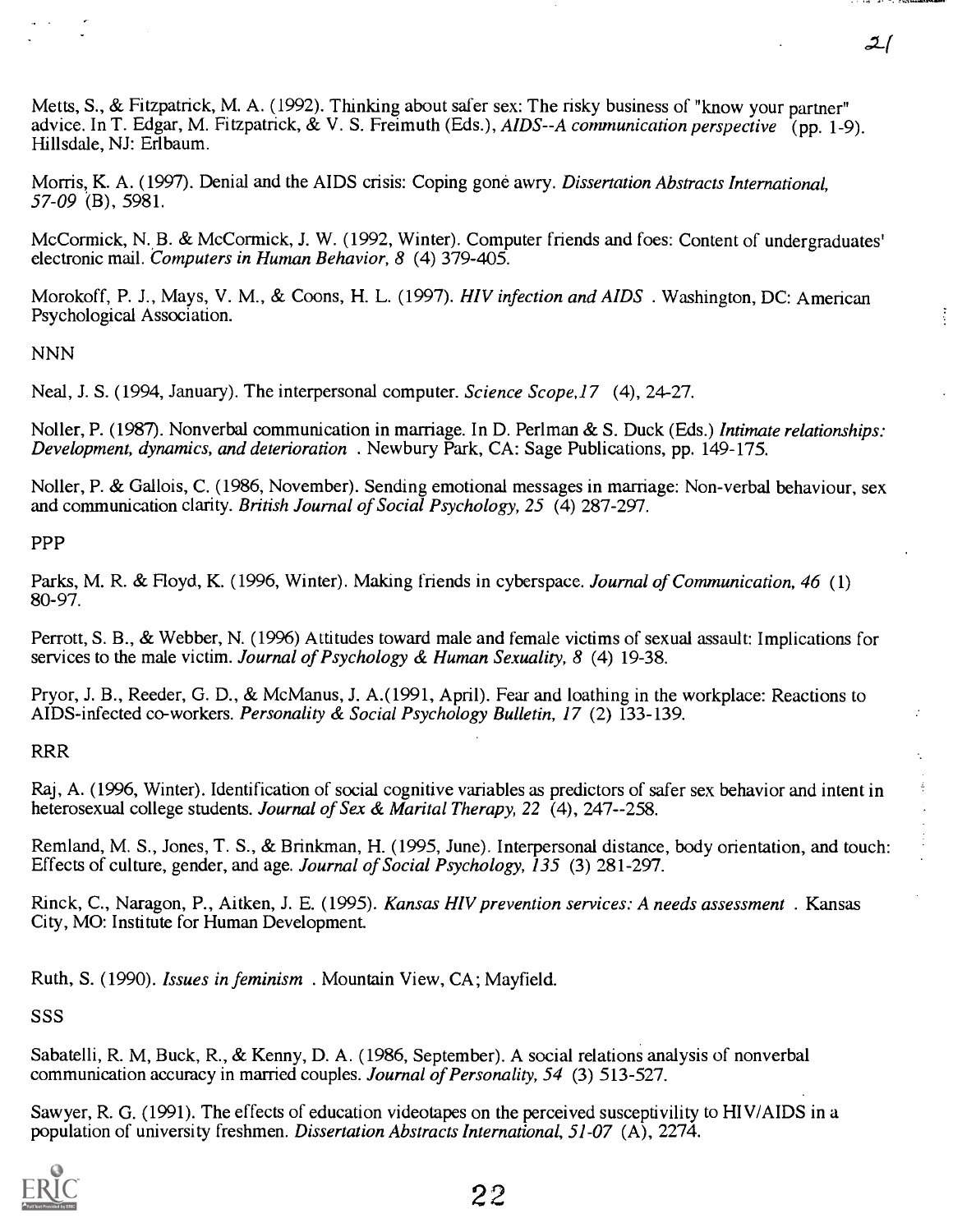Metts, S., & Fitzpatrick, M. A. (1992). Thinking about safer sex: The risky business of "know your partner" advice. In T. Edgar, M. Fitzpatrick, & V. S. Freimuth (Eds.), AIDS--A communication perspective (pp. 1-9).<br>Hillsdale, NJ: Erlbaum.

21

Morris, K. A. (1997). Denial and the AIDS crisis: Coping gone awry. Dissertation Abstracts International, 57-09 (B), 5981.

McCormick, N. B. & McCormick, J. W. (1992, Winter). Computer friends and foes: Content of undergraduates' electronic mail. Computers in Human Behavior, 8 (4) 379-405.

Morokoff, P. J., Mays, V. M., & Coons, H. L. (1997). HIV infection and AIDS . Washington, DC: American Psychological Association.

NNN

Neal, J. S. (1994, January). The interpersonal computer. Science Scope, 17 (4), 24-27.

Noller, P. (1987). Nonverbal communication in marriage. In D. Perlman & S. Duck (Eds.) *Intimate relationships:* Development, dynamics, and deterioration. Newbury Park, CA: Sage Publications, pp. 149-175.

Noller, P. & Gallois, C. (1986, November). Sending emotional messages in marriage: Non-verbal behaviour, sex and communication clarity. British Journal of Social Psychology, 25 (4) 287-297.

PPP

Parks, M. R. & Floyd, K. (1996, Winter). Making friends in cyberspace. Journal of Communication, 46 (1) 80-97.

Perrott, S. B., & Webber, N. (1996) Attitudes toward male and female victims of sexual assault: Implications for services to the male victim. Journal of Psychology & Human Sexuality, 8 (4) 19-38.

Pryor, J. B., Reeder, G. D., & McManus, J. A.(1991, April). Fear and loathing in the workplace: Reactions to AIDS-infected co-workers. Personality & Social Psychology Bulletin, 17 (2) 133-139.

RRR

Raj, A. (1996, Winter). Identification of social cognitive variables as predictors of safer sex behavior and intent in heterosexual college students. Journal of Sex & Marital Therapy, 22 (4), 247--258.

Remland, M. S., Jones, T. S., & Brinkman, H. (1995, June). Interpersonal distance, body orientation, and touch: Effects of culture, gender, and age. Journal of Social Psychology, 135 (3) 281-297.

Rinck, C., Naragon, P., Aitken, J. E. (1995). Kansas HIV prevention services: A needs assessment . Kansas City, MO: Institute for Human Development

Ruth, S. (1990). Issues in feminism . Mountain View, CA; Mayfield.

**SSS** 

Sabatelli, R. M, Buck, R., & Kenny, D. A. (1986, September). A social relations analysis of nonverbal communication accuracy in married couples. Journal of Personality, 54 (3) 513-527.

Sawyer, R. G. (1991). The effects of education videotapes on the perceived susceptivility to HIV/AIDS in a population of university freshmen. Dissertation Abstracts International, 51-07 (A), 2274.

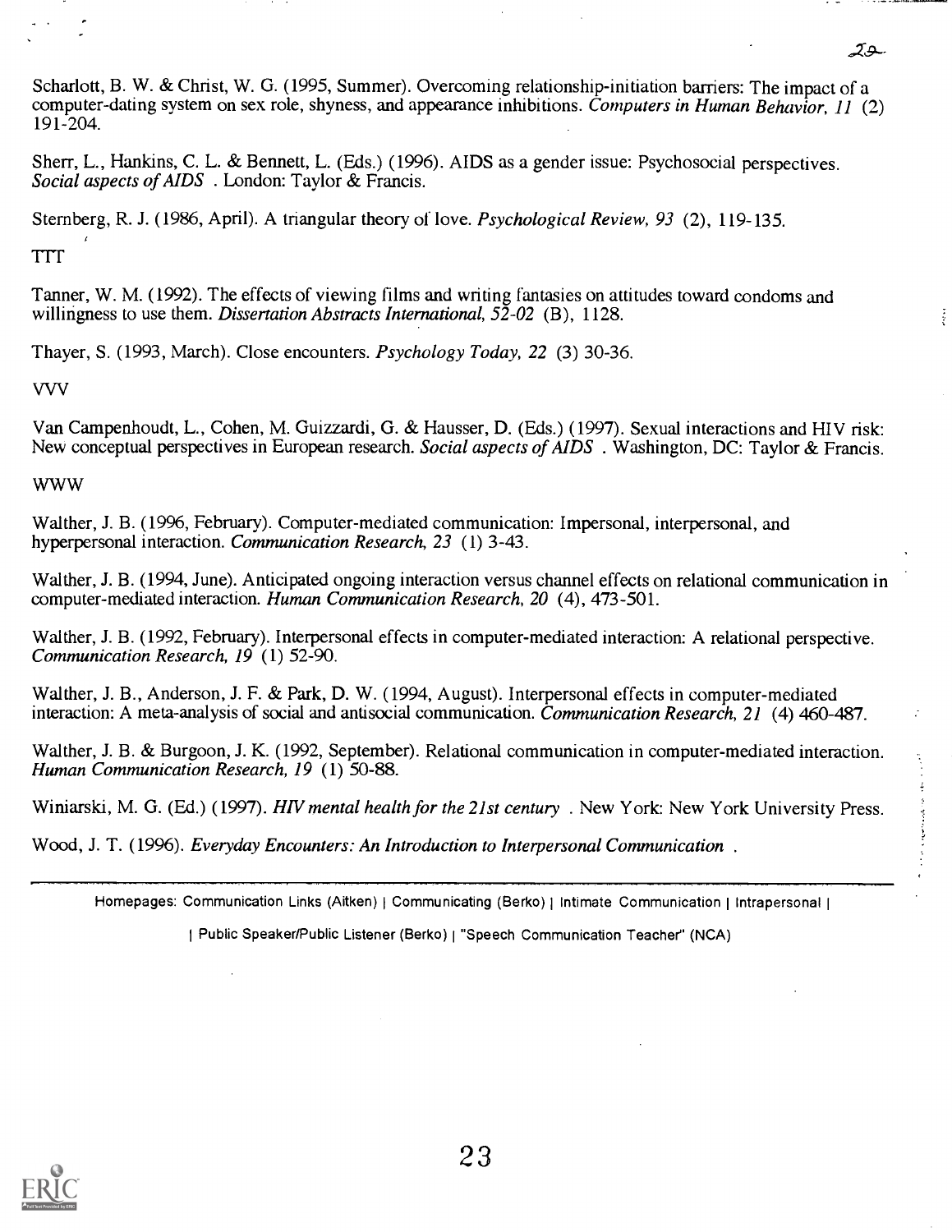Scharlott, B. W. & Christ, W. G. (1995, Summer). Overcoming relationship-initiation barriers: The impact of a computer-dating system on sex role, shyness, and appearance inhibitions. Computers in Human Behavior, 11 (2) 191-204.

Sherr, L., Hankins, C. L. & Bennett, L. (Eds.) (1996). AIDS as a gender issue: Psychosocial perspectives. Social aspects of AIDS . London: Taylor & Francis.

Sternberg, R. J. (1986, April). A triangular theory of love. *Psychological Review*, 93 (2), 119-135.

ITT

Tanner, W. M. (1992). The effects of viewing films and writing fantasies on attitudes toward condoms and willingness to use them. Dissertation Abstracts International,  $52-02$  (B), 1128.

Thayer, S. (1993, March). Close encounters. Psychology Today, 22 (3) 30-36.

WV

Van Campenhoudt, L., Cohen, M. Guizzardi, G. & Hausser, D. (Eds.) (1997). Sexual interactions and HIV risk: New conceptual perspectives in European research. Social aspects of AIDS . Washington, DC: Taylor & Francis.

WWW

Walther, J. B. (1996, February). Computer-mediated communication: Impersonal, interpersonal, and hyperpersonal interaction. Communication Research, 23 (1) 3-43.

Walther, J. B. (1994, June). Anticipated ongoing interaction versus channel effects on relational communication in computer-mediated interaction. Human Communication Research, 20 (4), 473-501.

Walther, J. B. (1992, February). Interpersonal effects in computer-mediated interaction: A relational perspective. Communication Research, 19 (1) 52-90.

Walther, J. B., Anderson, J. F. & Park, D. W. (1994, August). Interpersonal effects in computer-mediated interaction: A meta-analysis of social and antisocial communication. Communication Research, 21 (4) 460-487.

Walther, J. B. & Burgoon, J. K. (1992, September). Relational communication in computer-mediated interaction. Human Communication Research, 19 (1) 50-88.

Winiarski, M. G. (Ed.) (1997). HIV mental health for the 21st century . New York: New York University Press.

Wood, J. T. (1996). Everyday Encounters: An Introduction to Interpersonal Communication .

Homepages: Communication Links (Aitken) | Communicating (Berko) | Intimate Communication | Intrapersonal |

<sup>I</sup> Public Speaker/Public Listener (Berko) I "Speech Communication Teacher" (NCA)

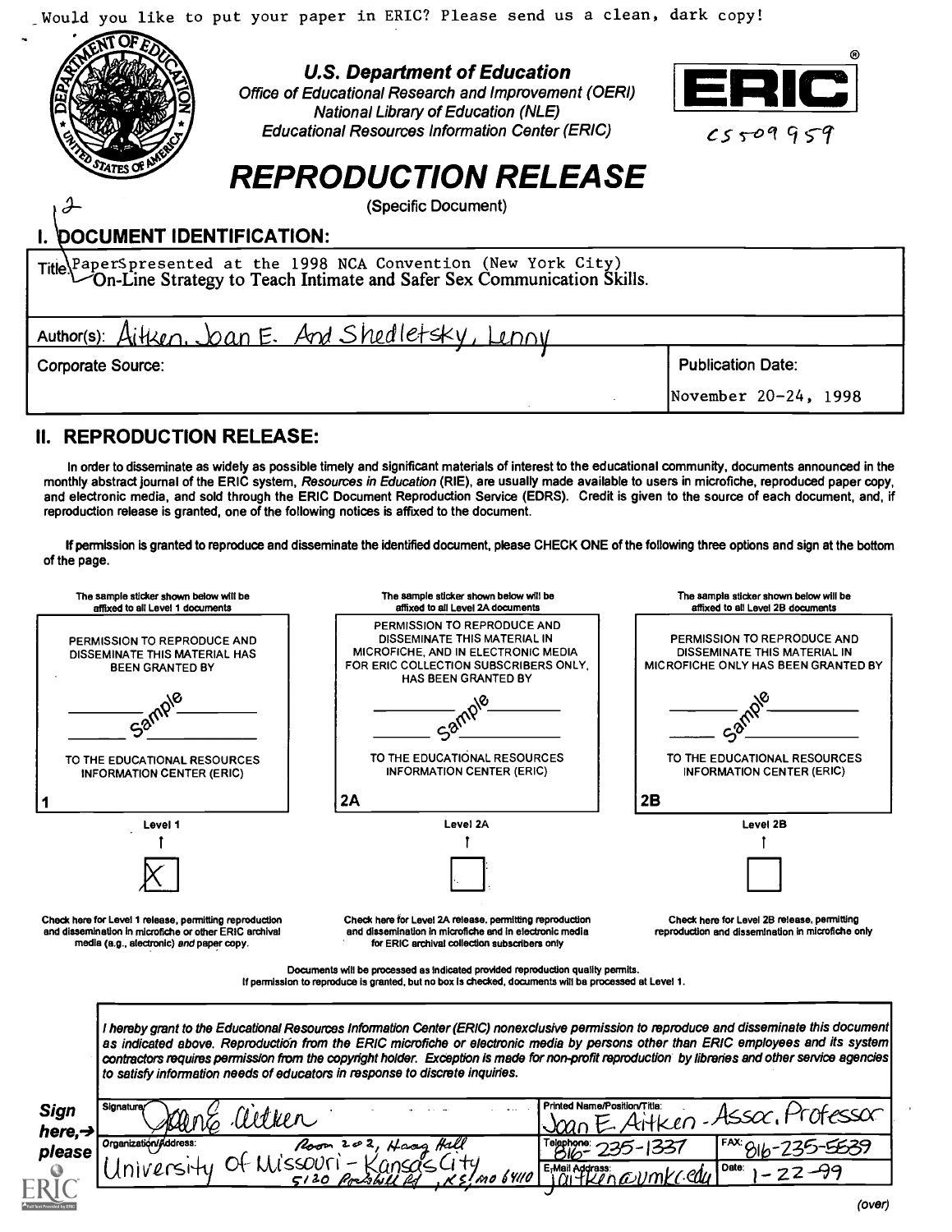\_Would you like to put your paper in ERIC? Please send us a clean, dark copy!



 $\lambda$ 

#### U.S. Department of Education

Office of Educational Research and Improvement (QERI) National Library of Education (NLE) Educational Resources Information Center (ERIC)



 $c<sub>5</sub>$ -09959

# REPRODUCTION RELEASE

(Specific Document)

#### DOCUMENT IDENTIFICATION:

Title\PaperSpresented at the 1998 NCA Convention (New York City)  $\cup$ On-Line Strategy to Teach Intimate and Safer Sex Communication Skills.

| Author(s): Aitken, Joan E. And Shedletsky, |                          |
|--------------------------------------------|--------------------------|
| <b>Corporate Source:</b>                   | <b>Publication Date:</b> |
|                                            | November 20-24, 1998     |

### II. REPRODUCTION RELEASE:

In order to disseminate as widely as possible timely and significant materials of interest to the educational community, documents announced in the monthly abstract journal of the ERIC system, Resources in Education (RIE), are usually made available to users in microfiche, reproduced paper copy, and electronic media, and sold through the ERIC Document Reproduction Service (EDRS). Credit is given to the source of each document, and, if reproduction release is granted, one of the following notices is affixed to the document.

If permission is granted to reproduce and disseminate the identified document, please CHECK ONE of the following three options and sign at the bottom of the page.

| PERMISSION TO REPRODUCE AND<br>DISSEMINATE THIS MATERIAL HAS<br><b>BEEN GRANTED BY</b><br>$C_{\text{O}}$<br>TO THE EDUCATIONAL RESOURCES                      | PERMISSION TO REPRODUCE AND<br>DISSEMINATE THIS MATERIAL IN<br>MICROFICHE, AND IN ELECTRONIC MEDIA<br>FOR ERIC COLLECTION SUBSCRIBERS ONLY.<br><b>HAS BEEN GRANTED BY</b>                                                                                                                                                                                                                                                         | PERMISSION TO REPRODUCE AND<br>DISSEMINATE THIS MATERIAL IN<br>MICROFICHE ONLY HAS BEEN GRANTED BY |
|---------------------------------------------------------------------------------------------------------------------------------------------------------------|-----------------------------------------------------------------------------------------------------------------------------------------------------------------------------------------------------------------------------------------------------------------------------------------------------------------------------------------------------------------------------------------------------------------------------------|----------------------------------------------------------------------------------------------------|
|                                                                                                                                                               |                                                                                                                                                                                                                                                                                                                                                                                                                                   |                                                                                                    |
|                                                                                                                                                               |                                                                                                                                                                                                                                                                                                                                                                                                                                   |                                                                                                    |
| <b>INFORMATION CENTER (ERIC)</b>                                                                                                                              | TO THE EDUCATIONAL RESOURCES<br><b>INFORMATION CENTER (ERIC)</b>                                                                                                                                                                                                                                                                                                                                                                  | TO THE EDUCATIONAL RESOURCES<br><b>INFORMATION CENTER (ERIC)</b>                                   |
|                                                                                                                                                               | 2A                                                                                                                                                                                                                                                                                                                                                                                                                                | 2B                                                                                                 |
| Level 1                                                                                                                                                       | Level 2A                                                                                                                                                                                                                                                                                                                                                                                                                          | Level 2B                                                                                           |
|                                                                                                                                                               |                                                                                                                                                                                                                                                                                                                                                                                                                                   |                                                                                                    |
|                                                                                                                                                               |                                                                                                                                                                                                                                                                                                                                                                                                                                   |                                                                                                    |
| Check here for Level 1 release, permitting reproduction<br>and dissemination in microfiche or other ERIC archival<br>media (a.g., alectronic) and paper copy. | Check here for Level 2A release, permitting reproduction<br>and dissemination in microfiche and in electronic media<br>for ERIC archival collection subscribers only                                                                                                                                                                                                                                                              | Check here for Level 2B release, permitting<br>reproduction and dissemination in microfiche only   |
|                                                                                                                                                               | Documents will be processed as indicated provided reproduction quality permits.<br>If permission to reproduce is granted, but no box is checked, documents will ba processed at Level 1.                                                                                                                                                                                                                                          |                                                                                                    |
| to satisfy information needs of educators in response to discrete inquiries.                                                                                  | I hereby grant to the Educational Resources Information Center (ERIC) nonexclusive permission to reproduce and disseminate this document<br>as indicated above. Reproduction from the ERIC microfiche or electronic media by persons other than ERIC employees and its system<br>contractors requires permission from the copyright holder. Exception is made for non-profit reproduction by libreries and other service agencies |                                                                                                    |
| Signature<br>Sign<br>E alther<br>here, $\rightarrow$                                                                                                          | Printed Name/Position/Titla:                                                                                                                                                                                                                                                                                                                                                                                                      | essor<br>$tken$ -Ass $\alpha$ .                                                                    |
| Organizatión/Address:<br>please<br>Missouri                                                                                                                   | Room 202<br>E-Mail Addrass<br>mo b4ll0                                                                                                                                                                                                                                                                                                                                                                                            | Date:                                                                                              |